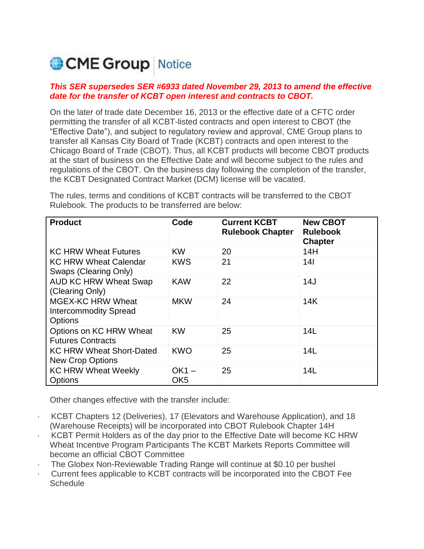# CME Group Notice

# *This SER supersedes SER #6933 dated November 29, 2013 to amend the effective date for the transfer of KCBT open interest and contracts to CBOT.*

On the later of trade date December 16, 2013 or the effective date of a CFTC order permitting the transfer of all KCBT-listed contracts and open interest to CBOT (the "Effective Date"), and subject to regulatory review and approval, CME Group plans to transfer all Kansas City Board of Trade (KCBT) contracts and open interest to the Chicago Board of Trade (CBOT). Thus, all KCBT products will become CBOT products at the start of business on the Effective Date and will become subject to the rules and regulations of the CBOT. On the business day following the completion of the transfer, the KCBT Designated Contract Market (DCM) license will be vacated.

The rules, terms and conditions of KCBT contracts will be transferred to the CBOT Rulebook. The products to be transferred are below:

| <b>Product</b>                                                             | Code                       | <b>Current KCBT</b><br><b>Rulebook Chapter</b> | <b>New CBOT</b><br><b>Rulebook</b><br><b>Chapter</b> |
|----------------------------------------------------------------------------|----------------------------|------------------------------------------------|------------------------------------------------------|
| <b>KC HRW Wheat Futures</b>                                                | <b>KW</b>                  | 20                                             | 14H                                                  |
| <b>KC HRW Wheat Calendar</b><br>Swaps (Clearing Only)                      | <b>KWS</b>                 | 21                                             | 14 <sup>1</sup>                                      |
| <b>AUD KC HRW Wheat Swap</b><br>(Clearing Only)                            | <b>KAW</b>                 | 22                                             | 14J                                                  |
| <b>MGEX-KC HRW Wheat</b><br><b>Intercommodity Spread</b><br><b>Options</b> | <b>MKW</b>                 | 24                                             | 14K                                                  |
| Options on KC HRW Wheat<br><b>Futures Contracts</b>                        | <b>KW</b>                  | 25                                             | 14L                                                  |
| <b>KC HRW Wheat Short-Dated</b><br><b>New Crop Options</b>                 | <b>KWO</b>                 | 25                                             | 14L                                                  |
| <b>KC HRW Wheat Weekly</b><br>Options                                      | $OK1 -$<br>OK <sub>5</sub> | 25                                             | 14L                                                  |

Other changes effective with the transfer include:

- · KCBT Chapters 12 (Deliveries), 17 (Elevators and Warehouse Application), and 18 (Warehouse Receipts) will be incorporated into CBOT Rulebook Chapter 14H
- · KCBT Permit Holders as of the day prior to the Effective Date will become KC HRW Wheat Incentive Program Participants The KCBT Markets Reports Committee will become an official CBOT Committee
- The Globex Non-Reviewable Trading Range will continue at \$0.10 per bushel
- · Current fees applicable to KCBT contracts will be incorporated into the CBOT Fee **Schedule**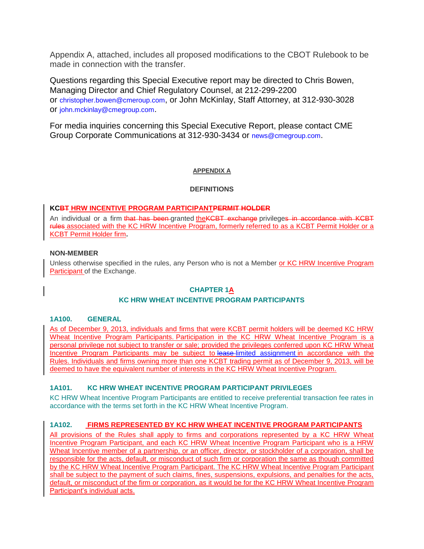Appendix A, attached, includes all proposed modifications to the CBOT Rulebook to be made in connection with the transfer.

Questions regarding this Special Executive report may be directed to Chris Bowen, Managing Director and Chief Regulatory Counsel, at 212-299-2200 or [christopher.bowen@cmeroup.com](mailto:christopher.bowen@cmeroup.com), or John McKinlay, Staff Attorney, at 312-930-3028 or [john.mckinlay@cmegroup.com](mailto:john.mckinlay@cmegroup.com).

For media inquiries concerning this Special Executive Report, please contact CME Group Corporate Communications at 312-930-3434 or [news@cmegroup.com](mailto:news@cmegroup.com).

# **APPENDIX A**

### **DEFINITIONS**

### **KCBT HRW INCENTIVE PROGRAM PARTICIPANTPERMIT HOLDER**

An individual or a firm that has been-granted the KCBT exchange privileges in accordance with KCBT rules associated with the KC HRW Incentive Program, formerly referred to as a KCBT Permit Holder or a KCBT Permit Holder firm**.**

#### **NON-MEMBER**

Unless otherwise specified in the rules, any Person who is not a Member or KC HRW Incentive Program **Participant of the Exchange.** 

# **CHAPTER 1A**

# **KC HRW WHEAT INCENTIVE PROGRAM PARTICIPANTS**

#### **1A100. GENERAL**

As of December 9, 2013, individuals and firms that were KCBT permit holders will be deemed KC HRW Wheat Incentive Program Participants. Participation in the KC HRW Wheat Incentive Program is a personal privilege not subject to transfer or sale; provided the privileges conferred upon KC HRW Wheat Incentive Program Participants may be subject to lease-limited assignment in accordance with the Rules. Individuals and firms owning more than one KCBT trading permit as of December 9, 2013, will be deemed to have the equivalent number of interests in the KC HRW Wheat Incentive Program.

# **1A101. KC HRW WHEAT INCENTIVE PROGRAM PARTICIPANT PRIVILEGES**

KC HRW Wheat Incentive Program Participants are entitled to receive preferential transaction fee rates in accordance with the terms set forth in the KC HRW Wheat Incentive Program.

# **1A102. FIRMS REPRESENTED BY KC HRW WHEAT INCENTIVE PROGRAM PARTICIPANTS**

All provisions of the Rules shall apply to firms and corporations represented by a KC HRW Wheat Incentive Program Participant, and each KC HRW Wheat Incentive Program Participant who is a HRW Wheat Incentive member of a partnership, or an officer, director, or stockholder of a corporation, shall be responsible for the acts, default, or misconduct of such firm or corporation the same as though committed by the KC HRW Wheat Incentive Program Participant. The KC HRW Wheat Incentive Program Participant shall be subject to the payment of such claims, fines, suspensions, expulsions, and penalties for the acts, default, or misconduct of the firm or corporation, as it would be for the KC HRW Wheat Incentive Program Participant's individual acts.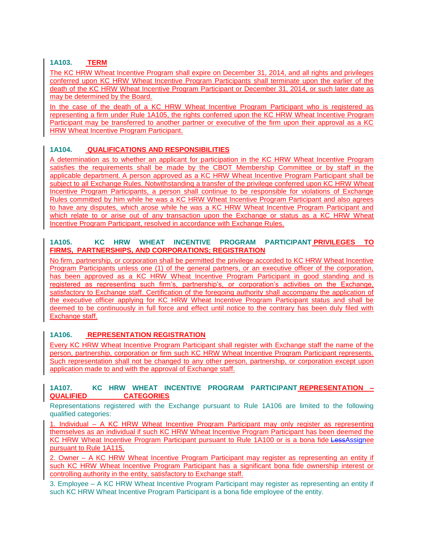# **1A103. TERM**

The KC HRW Wheat Incentive Program shall expire on December 31, 2014, and all rights and privileges conferred upon KC HRW Wheat Incentive Program Participants shall terminate upon the earlier of the death of the KC HRW Wheat Incentive Program Participant or December 31, 2014, or such later date as may be determined by the Board.

In the case of the death of a KC HRW Wheat Incentive Program Participant who is registered as representing a firm under Rule 1A105, the rights conferred upon the KC HRW Wheat Incentive Program Participant may be transferred to another partner or executive of the firm upon their approval as a KC HRW Wheat Incentive Program Participant.

# **1A104. QUALIFICATIONS AND RESPONSIBILITIES**

A determination as to whether an applicant for participation in the KC HRW Wheat Incentive Program satisfies the requirements shall be made by the CBOT Membership Committee or by staff in the applicable department. A person approved as a KC HRW Wheat Incentive Program Participant shall be subject to all Exchange Rules. Notwithstanding a transfer of the privilege conferred upon KC HRW Wheat Incentive Program Participants, a person shall continue to be responsible for violations of Exchange Rules committed by him while he was a KC HRW Wheat Incentive Program Participant and also agrees to have any disputes, which arose while he was a KC HRW Wheat Incentive Program Participant and which relate to or arise out of any transaction upon the Exchange or status as a KC HRW Wheat Incentive Program Participant, resolved in accordance with Exchange Rules.

# **1A105. KC HRW WHEAT INCENTIVE PROGRAM PARTICIPANT PRIVILEGES TO FIRMS, PARTNERSHIPS, AND CORPORATIONS; REGISTRATION**

No firm, partnership, or corporation shall be permitted the privilege accorded to KC HRW Wheat Incentive Program Participants unless one (1) of the general partners, or an executive officer of the corporation, has been approved as a KC HRW Wheat Incentive Program Participant in good standing and is registered as representing such firm's, partnership's, or corporation's activities on the Exchange, satisfactory to Exchange staff. Certification of the foregoing authority shall accompany the application of the executive officer applying for KC HRW Wheat Incentive Program Participant status and shall be deemed to be continuously in full force and effect until notice to the contrary has been duly filed with Exchange staff.

# **1A106. REPRESENTATION REGISTRATION**

Every KC HRW Wheat Incentive Program Participant shall register with Exchange staff the name of the person, partnership, corporation or firm such KC HRW Wheat Incentive Program Participant represents. Such representation shall not be changed to any other person, partnership, or corporation except upon application made to and with the approval of Exchange staff.

# **1A107. KC HRW WHEAT INCENTIVE PROGRAM PARTICIPANT REPRESENTATION – QUALIFIED CATEGORIES**

Representations registered with the Exchange pursuant to Rule 1A106 are limited to the following qualified categories:

1. Individual – A KC HRW Wheat Incentive Program Participant may only register as representing themselves as an individual if such KC HRW Wheat Incentive Program Participant has been deemed the KC HRW Wheat Incentive Program Participant pursuant to Rule 1A100 or is a bona fide LessAssignee pursuant to Rule 1A115.

2. Owner – A KC HRW Wheat Incentive Program Participant may register as representing an entity if such KC HRW Wheat Incentive Program Participant has a significant bona fide ownership interest or controlling authority in the entity, satisfactory to Exchange staff.

3. Employee – A KC HRW Wheat Incentive Program Participant may register as representing an entity if such KC HRW Wheat Incentive Program Participant is a bona fide employee of the entity.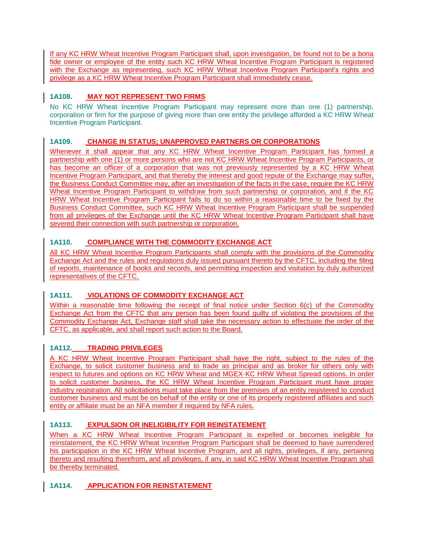If any KC HRW Wheat Incentive Program Participant shall, upon investigation, be found not to be a bona fide owner or employee of the entity such KC HRW Wheat Incentive Program Participant is registered with the Exchange as representing, such KC HRW Wheat Incentive Program Participant's rights and privilege as a KC HRW Wheat Incentive Program Participant shall immediately cease.

# **1A108. MAY NOT REPRESENT TWO FIRMS**

No KC HRW Wheat Incentive Program Participant may represent more than one (1) partnership, corporation or firm for the purpose of giving more than one entity the privilege afforded a KC HRW Wheat Incentive Program Participant.

# **1A109. CHANGE IN STATUS; UNAPPROVED PARTNERS OR CORPORATIONS**

Whenever it shall appear that any KC HRW Wheat Incentive Program Participant has formed a partnership with one (1) or more persons who are not KC HRW Wheat Incentive Program Participants, or has become an officer of a corporation that was not previously represented by a KC HRW Wheat Incentive Program Participant, and that thereby the interest and good repute of the Exchange may suffer, the Business Conduct Committee may, after an investigation of the facts in the case, require the KC HRW Wheat Incentive Program Participant to withdraw from such partnership or corporation, and if the KC HRW Wheat Incentive Program Participant fails to do so within a reasonable time to be fixed by the Business Conduct Committee, such KC HRW Wheat Incentive Program Participant shall be suspended from all privileges of the Exchange until the KC HRW Wheat Incentive Program Participant shall have severed their connection with such partnership or corporation.

# **1A110. COMPLIANCE WITH THE COMMODITY EXCHANGE ACT**

All KC HRW Wheat Incentive Program Participants shall comply with the provisions of the Commodity Exchange Act and the rules and regulations duly issued pursuant thereto by the CFTC, including the filing of reports, maintenance of books and records, and permitting inspection and visitation by duly authorized representatives of the CFTC.

# **1A111. VIOLATIONS OF COMMODITY EXCHANGE ACT**

Within a reasonable time following the receipt of final notice under Section 6(c) of the Commodity Exchange Act from the CFTC that any person has been found guilty of violating the provisions of the Commodity Exchange Act, Exchange staff shall take the necessary action to effectuate the order of the CFTC, as applicable, and shall report such action to the Board.

# **1A112. TRADING PRIVILEGES**

A KC HRW Wheat Incentive Program Participant shall have the right, subject to the rules of the Exchange, to solicit customer business and to trade as principal and as broker for others only with respect to futures and options on KC HRW Wheat and MGEX-KC HRW Wheat Spread options. In order to solicit customer business, the KC HRW Wheat Incentive Program Participant must have proper industry registration. All solicitations must take place from the premises of an entity registered to conduct customer business and must be on behalf of the entity or one of its properly registered affiliates and such entity or affiliate must be an NFA member if required by NFA rules.

# **1A113. EXPULSION OR INELIGIBILITY FOR REINSTATEMENT**

When a KC HRW Wheat Incentive Program Participant is expelled or becomes ineligible for reinstatement, the KC HRW Wheat Incentive Program Participant shall be deemed to have surrendered his participation in the KC HRW Wheat Incentive Program, and all rights, privileges, if any, pertaining thereto and resulting therefrom, and all privileges, if any, in said KC HRW Wheat Incentive Program shall be thereby terminated.

# **1A114. APPLICATION FOR REINSTATEMENT**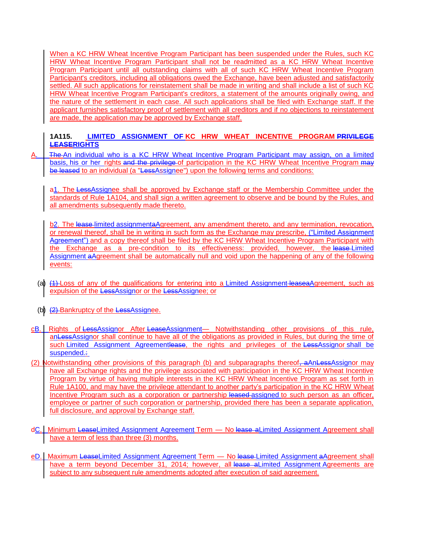When a KC HRW Wheat Incentive Program Participant has been suspended under the Rules, such KC HRW Wheat Incentive Program Participant shall not be readmitted as a KC HRW Wheat Incentive Program Participant until all outstanding claims with all of such KC HRW Wheat Incentive Program Participant's creditors, including all obligations owed the Exchange, have been adjusted and satisfactorily settled. All such applications for reinstatement shall be made in writing and shall include a list of such KC HRW Wheat Incentive Program Participant's creditors, a statement of the amounts originally owing, and the nature of the settlement in each case. All such applications shall be filed with Exchange staff. If the applicant furnishes satisfactory proof of settlement with all creditors and if no objections to reinstatement are made, the application may be approved by Exchange staff.

# **1A115. LIMITED ASSIGNMENT OF KC HRW WHEAT INCENTIVE PROGRAM PRIVILEGE LEASERIGHTS**

A. **The An individual who is a KC HRW Wheat Incentive Program Participant may assign, on a limited** basis, his or her rights and the privilege of participation in the KC HRW Wheat Incentive Program may be leased to an individual (a "LessAssignee") upon the following terms and conditions:

a1. The LessAssignee shall be approved by Exchange staff or the Membership Committee under the standards of Rule 1A104, and shall sign a written agreement to observe and be bound by the Rules, and all amendments subsequently made thereto.

b2. The lease-limited assignmentaAgreement, any amendment thereto, and any termination, revocation, or renewal thereof, shall be in writing in such form as the Exchange may prescribe, ("Limited Assignment Agreement") and a copy thereof shall be filed by the KC HRW Wheat Incentive Program Participant with the Exchange as a pre-condition to its effectiveness: provided, however, the lease Limited Assignment aAgreement shall be automatically null and void upon the happening of any of the following events:

- (a)  $(4)$ -Loss of any of the qualifications for entering into a Limited Assignment-leaseaAgreement, such as expulsion of the LessAssignor or the LessAssignee; or
- (b)  $(2)$ -Bankruptcy of the LessAssignee.
- cB. Rights of LessAssignor After LeaseAssignment— Notwithstanding other provisions of this rule, anLessAssignor shall continue to have all of the obligations as provided in Rules, but during the time of such Limited Assignment Agreementlease, the rights and privileges of the LessAssignor shall be suspended.:
- (2) Notwithstanding other provisions of this paragraph (b) and subparagraphs thereof, aAnLessAssignor may have all Exchange rights and the privilege associated with participation in the KC HRW Wheat Incentive Program by virtue of having multiple interests in the KC HRW Wheat Incentive Program as set forth in Rule 1A100, and may have the privilege attendant to another party's participation in the KC HRW Wheat Incentive Program such as a corporation or partnership leased assigned to such person as an officer, employee or partner of such corporation or partnership, provided there has been a separate application, full disclosure, and approval by Exchange staff.
- dC. Minimum LeaseLimited Assignment Agreement Term No lease aLimited Assignment Agreement shall have a term of less than three (3) months.
- eD. Maximum LeaseLimited Assignment Agreement Term No lease Limited Assignment aAgreement shall have a term beyond December 31, 2014; however, all lease a Limited Assignment Agreements are subject to any subsequent rule amendments adopted after execution of said agreement.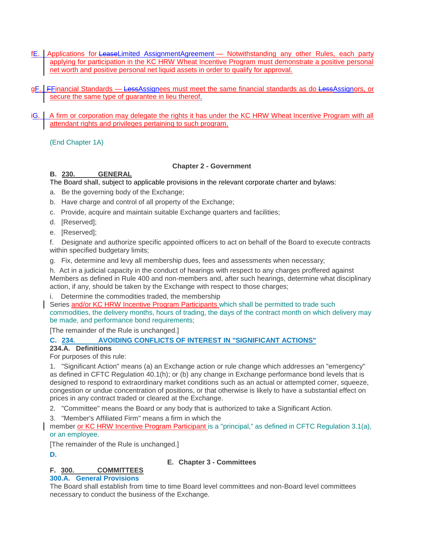- fE. Applications for LeaseLimited AssignmentAgreement Notwithstanding any other Rules, each party applying for participation in the KC HRW Wheat Incentive Program must demonstrate a positive personal net worth and positive personal net liquid assets in order to qualify for approval.
- gF. FFinancial Standards LessAssignees must meet the same financial standards as do LessAssignors, or secure the same type of guarantee in lieu thereof.
- iG. A firm or corporation may delegate the rights it has under the KC HRW Wheat Incentive Program with all attendant rights and privileges pertaining to such program.

(End Chapter 1A)

# **Chapter 2 - Government**

# **B. 230. GENERAL**

# The Board shall, subject to applicable provisions in the relevant corporate charter and bylaws:

- a. Be the governing body of the Exchange;
- b. Have charge and control of all property of the Exchange;
- c. Provide, acquire and maintain suitable Exchange quarters and facilities;
- d. [Reserved];
- e. [Reserved];

f. Designate and authorize specific appointed officers to act on behalf of the Board to execute contracts within specified budgetary limits;

g. Fix, determine and levy all membership dues, fees and assessments when necessary;

h. Act in a judicial capacity in the conduct of hearings with respect to any charges proffered against Members as defined in Rule 400 and non-members and, after such hearings, determine what disciplinary action, if any, should be taken by the Exchange with respect to those charges;

i. Determine the commodities traded, the membership

Series and/or KC HRW Incentive Program Participants which shall be permitted to trade such commodities, the delivery months, hours of trading, the days of the contract month on which delivery may be made, and performance bond requirements;

[The remainder of the Rule is unchanged.]

# **C. 234. AVOIDING CONFLICTS OF INTEREST IN "SIGNIFICANT ACTIONS"**

# **234.A. Definitions**

For purposes of this rule:

1. "Significant Action" means (a) an Exchange action or rule change which addresses an "emergency" as defined in CFTC Regulation 40.1(h); or (b) any change in Exchange performance bond levels that is designed to respond to extraordinary market conditions such as an actual or attempted corner, squeeze, congestion or undue concentration of positions, or that otherwise is likely to have a substantial effect on prices in any contract traded or cleared at the Exchange.

- 2. "Committee" means the Board or any body that is authorized to take a Significant Action.
- 3. "Member's Affiliated Firm" means a firm in which the

member or KC HRW Incentive Program Participant is a "principal," as defined in CFTC Regulation 3.1(a), or an employee.

[The remainder of the Rule is unchanged.]

**D.**

# **E. Chapter 3 - Committees**

# **F. 300. COMMITTEES**

# **300.A. General Provisions**

The Board shall establish from time to time Board level committees and non-Board level committees necessary to conduct the business of the Exchange.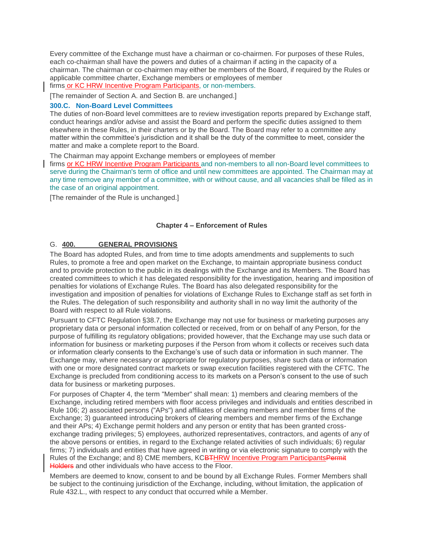Every committee of the Exchange must have a chairman or co-chairmen. For purposes of these Rules, each co-chairman shall have the powers and duties of a chairman if acting in the capacity of a chairman. The chairman or co-chairmen may either be members of the Board, if required by the Rules or applicable committee charter, Exchange members or employees of member firms or KC HRW Incentive Program Participants, or non-members.

[The remainder of Section A. and Section B. are unchanged.]

### **300.C. Non-Board Level Committees**

The duties of non-Board level committees are to review investigation reports prepared by Exchange staff, conduct hearings and/or advise and assist the Board and perform the specific duties assigned to them elsewhere in these Rules, in their charters or by the Board. The Board may refer to a committee any matter within the committee's jurisdiction and it shall be the duty of the committee to meet, consider the matter and make a complete report to the Board.

The Chairman may appoint Exchange members or employees of member

firms or KC HRW Incentive Program Participants and non-members to all non-Board level committees to serve during the Chairman's term of office and until new committees are appointed. The Chairman may at any time remove any member of a committee, with or without cause, and all vacancies shall be filled as in the case of an original appointment.

[The remainder of the Rule is unchanged.]

### **Chapter 4 – Enforcement of Rules**

### G. **400. GENERAL PROVISIONS**

The Board has adopted Rules, and from time to time adopts amendments and supplements to such Rules, to promote a free and open market on the Exchange, to maintain appropriate business conduct and to provide protection to the public in its dealings with the Exchange and its Members. The Board has created committees to which it has delegated responsibility for the investigation, hearing and imposition of penalties for violations of Exchange Rules. The Board has also delegated responsibility for the investigation and imposition of penalties for violations of Exchange Rules to Exchange staff as set forth in the Rules. The delegation of such responsibility and authority shall in no way limit the authority of the Board with respect to all Rule violations.

Pursuant to CFTC Regulation §38.7, the Exchange may not use for business or marketing purposes any proprietary data or personal information collected or received, from or on behalf of any Person, for the purpose of fulfilling its regulatory obligations; provided however, that the Exchange may use such data or information for business or marketing purposes if the Person from whom it collects or receives such data or information clearly consents to the Exchange's use of such data or information in such manner. The Exchange may, where necessary or appropriate for regulatory purposes, share such data or information with one or more designated contract markets or swap execution facilities registered with the CFTC. The Exchange is precluded from conditioning access to its markets on a Person's consent to the use of such data for business or marketing purposes.

For purposes of Chapter 4, the term "Member" shall mean: 1) members and clearing members of the Exchange, including retired members with floor access privileges and individuals and entities described in Rule 106; 2) associated persons ("APs") and affiliates of clearing members and member firms of the Exchange; 3) guaranteed introducing brokers of clearing members and member firms of the Exchange and their APs; 4) Exchange permit holders and any person or entity that has been granted crossexchange trading privileges; 5) employees, authorized representatives, contractors, and agents of any of the above persons or entities, in regard to the Exchange related activities of such individuals; 6) regular firms; 7) individuals and entities that have agreed in writing or via electronic signature to comply with the Rules of the Exchange; and 8) CME members, KCBTHRW Incentive Program ParticipantsPermit Holders and other individuals who have access to the Floor.

Members are deemed to know, consent to and be bound by all Exchange Rules. Former Members shall be subject to the continuing jurisdiction of the Exchange, including, without limitation, the application of Rule 432.L., with respect to any conduct that occurred while a Member.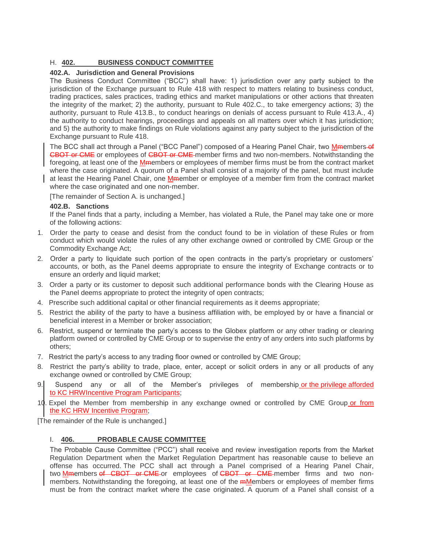# H. **402. BUSINESS CONDUCT COMMITTEE**

# **402.A. Jurisdiction and General Provisions**

The Business Conduct Committee ("BCC") shall have: 1) jurisdiction over any party subject to the jurisdiction of the Exchange pursuant to Rule 418 with respect to matters relating to business conduct, trading practices, sales practices, trading ethics and market manipulations or other actions that threaten the integrity of the market; 2) the authority, pursuant to Rule 402.C., to take emergency actions; 3) the authority, pursuant to Rule 413.B., to conduct hearings on denials of access pursuant to Rule 413.A., 4) the authority to conduct hearings, proceedings and appeals on all matters over which it has jurisdiction; and 5) the authority to make findings on Rule violations against any party subject to the jurisdiction of the Exchange pursuant to Rule 418.

The BCC shall act through a Panel ("BCC Panel") composed of a Hearing Panel Chair, two Mmembers-of CBOT or CME or employees of CBOT or CME-member firms and two non-members. Notwithstanding the foregoing, at least one of the Mmembers or employees of member firms must be from the contract market where the case originated. A quorum of a Panel shall consist of a majority of the panel, but must include at least the Hearing Panel Chair, one Mmember or employee of a member firm from the contract market where the case originated and one non-member.

[The remainder of Section A. is unchanged.]

### **402.B. Sanctions**

If the Panel finds that a party, including a Member, has violated a Rule, the Panel may take one or more of the following actions:

- 1. Order the party to cease and desist from the conduct found to be in violation of these Rules or from conduct which would violate the rules of any other exchange owned or controlled by CME Group or the Commodity Exchange Act;
- 2. Order a party to liquidate such portion of the open contracts in the party's proprietary or customers' accounts, or both, as the Panel deems appropriate to ensure the integrity of Exchange contracts or to ensure an orderly and liquid market;
- 3. Order a party or its customer to deposit such additional performance bonds with the Clearing House as the Panel deems appropriate to protect the integrity of open contracts;
- 4. Prescribe such additional capital or other financial requirements as it deems appropriate;
- 5. Restrict the ability of the party to have a business affiliation with, be employed by or have a financial or beneficial interest in a Member or broker association;
- 6. Restrict, suspend or terminate the party's access to the Globex platform or any other trading or clearing platform owned or controlled by CME Group or to supervise the entry of any orders into such platforms by others;
- 7. Restrict the party's access to any trading floor owned or controlled by CME Group;
- 8. Restrict the party's ability to trade, place, enter, accept or solicit orders in any or all products of any exchange owned or controlled by CME Group;
- 9. Suspend any or all of the Member's privileges of membership or the privilege afforded to KC HRWIncentive Program Participants;
- 10. Expel the Member from membership in any exchange owned or controlled by CME Group or from the KC HRW Incentive Program;

[The remainder of the Rule is unchanged.]

# I. **406. PROBABLE CAUSE COMMITTEE**

The Probable Cause Committee ("PCC") shall receive and review investigation reports from the Market Regulation Department when the Market Regulation Department has reasonable cause to believe an offense has occurred. The PCC shall act through a Panel comprised of a Hearing Panel Chair, two Mmembers of CBOT or CME or employees of CBOT or CME member firms and two nonmembers. Notwithstanding the foregoing, at least one of the *mMembers* or employees of member firms must be from the contract market where the case originated. A quorum of a Panel shall consist of a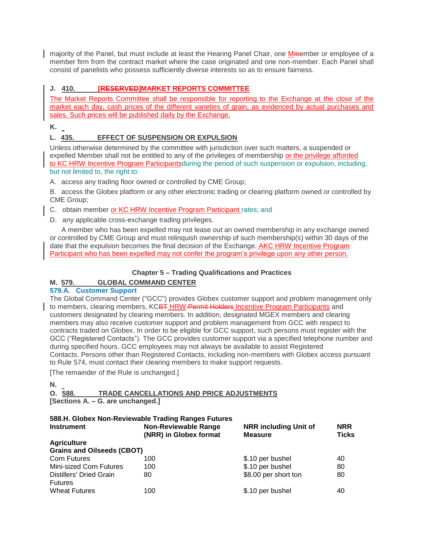majority of the Panel, but must include at least the Hearing Panel Chair, one Member or employee of a member firm from the contract market where the case originated and one non-member. Each Panel shall consist of panelists who possess sufficiently diverse interests so as to ensure fairness.

# **J. 410. [RESERVED]MARKET REPORTS COMMITTEE**

The Market Reports Committee shall be responsible for reporting to the Exchange at the close of the market each day, cash prices of the different varieties of grain, as evidenced by actual purchases and sales. Such prices will be published daily by the Exchange.

**K.**

# **L. 435. EFFECT OF SUSPENSION OR EXPULSION**

Unless otherwise determined by the committee with jurisdiction over such matters, a suspended or expelled Member shall not be entitled to any of the privileges of membership or the privilege afforded to KC HRW Incentive Program Participantsduring the period of such suspension or expulsion, including, but not limited to, the right to:

A. access any trading floor owned or controlled by CME Group;

B. access the Globex platform or any other electronic trading or clearing platform owned or controlled by CME Group;

C. obtain member or KC HRW Incentive Program Participant rates; and

D. any applicable cross-exchange trading privileges.

 A member who has been expelled may not lease out an owned membership in any exchange owned or controlled by CME Group and must relinquish ownership of such membership(s) within 30 days of the date that the expulsion becomes the final decision of the Exchange. AKC HRW Incentive Program Participant who has been expelled may not confer the program's privilege upon any other person.

# **Chapter 5 – Trading Qualifications and Practices**

# **M. 579. GLOBAL COMMAND CENTER**

# **579.A. Customer Support**

The Global Command Center ("GCC") provides Globex customer support and problem management only to members, clearing members, KCBT HRW Permit Holders Incentive Program Participants and customers designated by clearing members. In addition, designated MGEX members and clearing members may also receive customer support and problem management from GCC with respect to contracts traded on Globex. In order to be eligible for GCC support, such persons must register with the GCC ("Registered Contacts"). The GCC provides customer support via a specified telephone number and during specified hours. GCC employees may not always be available to assist Registered Contacts. Persons other than Registered Contacts, including non-members with Globex access pursuant to Rule 574, must contact their clearing members to make support requests.

[The remainder of the Rule is unchanged.]

#### **N.**

# **O. 588. TRADE CANCELLATIONS AND PRICE ADJUSTMENTS**

**[Sections A. – G. are unchanged.]**

# **588.H. Globex Non-Reviewable Trading Ranges Futures**

| <b>Instrument</b>                 | <b>Non-Reviewable Range</b><br>(NRR) in Globex format | <b>NRR</b> including Unit of<br><b>Measure</b> | <b>NRR</b><br><b>Ticks</b> |
|-----------------------------------|-------------------------------------------------------|------------------------------------------------|----------------------------|
| <b>Agriculture</b>                |                                                       |                                                |                            |
| <b>Grains and Oilseeds (CBOT)</b> |                                                       |                                                |                            |
| <b>Corn Futures</b>               | 100                                                   | \$.10 per bushel                               | 40                         |
| <b>Mini-sized Corn Futures</b>    | 100                                                   | \$.10 per bushel                               | 80                         |
| Distillers' Dried Grain           | 80                                                    | \$8.00 per short ton                           | 80                         |
| <b>Futures</b>                    |                                                       |                                                |                            |
| <b>Wheat Futures</b>              | 100                                                   | \$.10 per bushel                               | 40                         |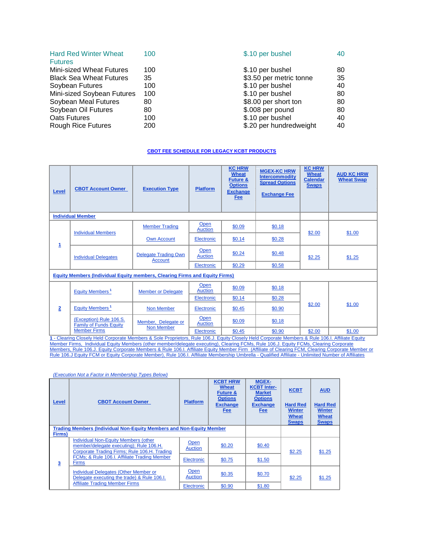| <b>Hard Red Winter Wheat</b><br><b>Futures</b> | 100 | \$.10 per bushel        | 40 |
|------------------------------------------------|-----|-------------------------|----|
| <b>Mini-sized Wheat Futures</b>                | 100 | \$.10 per bushel        | 80 |
| <b>Black Sea Wheat Futures</b>                 | 35  | \$3.50 per metric tonne | 35 |
| Soybean Futures                                | 100 | \$.10 per bushel        | 40 |
| Mini-sized Soybean Futures                     | 100 | \$.10 per bushel        | 80 |
| Soybean Meal Futures                           | 80  | \$8.00 per short ton    | 80 |
| Soybean Oil Futures                            | 80  | \$.008 per pound        | 80 |
| Oats Futures                                   | 100 | \$.10 per bushel        | 40 |
| <b>Rough Rice Futures</b>                      | 200 | \$.20 per hundredweight | 40 |

#### **CBOT FEE SCHEDULE FOR LEGACY KCBT PRODUCTS**

| Level                                                                              | <b>CBOT Account Owner</b>                                                                                                                        | <b>Execution Type</b>                         | <b>Platform</b>               | <b>KC HRW</b><br><b>Wheat</b><br><b>Future &amp;</b><br><b>Options</b><br><b>Exchange</b><br>Fee | <b>MGEX-KC HRW</b><br><b>Intercommodity</b><br><b>Spread Options</b><br><b>Exchange Fee</b> | <b>KC HRW</b><br>Wheat<br><b>Calendar</b><br><b>Swaps</b> | <b>AUD KC HRW</b><br><b>Wheat Swap</b> |
|------------------------------------------------------------------------------------|--------------------------------------------------------------------------------------------------------------------------------------------------|-----------------------------------------------|-------------------------------|--------------------------------------------------------------------------------------------------|---------------------------------------------------------------------------------------------|-----------------------------------------------------------|----------------------------------------|
|                                                                                    | <b>Individual Member</b>                                                                                                                         |                                               |                               |                                                                                                  |                                                                                             |                                                           |                                        |
|                                                                                    | <b>Individual Members</b>                                                                                                                        | <b>Member Trading</b>                         | Open<br><b>Auction</b>        | \$0.09                                                                                           | \$0.18                                                                                      | \$2.00                                                    | \$1.00                                 |
|                                                                                    |                                                                                                                                                  | <b>Own Account</b>                            | Electronic                    | \$0.14                                                                                           | \$0.28                                                                                      |                                                           |                                        |
| 1                                                                                  | <b>Individual Delegates</b>                                                                                                                      | <b>Delegate Trading Own</b><br><b>Account</b> | <b>Open</b><br><b>Auction</b> | \$0.24                                                                                           | \$0.48                                                                                      | \$2.25                                                    | \$1.25                                 |
|                                                                                    |                                                                                                                                                  |                                               | Electronic                    | \$0.29                                                                                           | \$0.58                                                                                      |                                                           |                                        |
| <b>Equity Members (Individual Equity members, Clearing Firms and Equity Firms)</b> |                                                                                                                                                  |                                               |                               |                                                                                                  |                                                                                             |                                                           |                                        |
|                                                                                    | Equity Members <sup>1</sup>                                                                                                                      | <b>Member or Delegate</b>                     | Open<br><b>Auction</b>        | \$0.09                                                                                           | \$0.18                                                                                      |                                                           |                                        |
|                                                                                    |                                                                                                                                                  |                                               | Electronic                    | \$0.14                                                                                           | \$0.28                                                                                      |                                                           |                                        |
| $\overline{2}$                                                                     | Equity Members <sup>1</sup>                                                                                                                      | Non Member                                    | Electronic                    | \$0.45                                                                                           | \$0.90                                                                                      | \$2.00                                                    | \$1.00                                 |
|                                                                                    | (Exception) Rule 106.S.<br><b>Family of Funds Equity</b>                                                                                         | Member, Delegate or                           | Open<br><b>Auction</b>        | \$0.09                                                                                           | \$0.18                                                                                      |                                                           |                                        |
|                                                                                    | <b>Member Firms</b>                                                                                                                              | Non Member                                    | Electronic                    | \$0.45                                                                                           | \$0.90                                                                                      | \$2.00                                                    | \$1.00                                 |
|                                                                                    | 1 - Clearing Closely Held Corporate Members & Sole Proprietors, Rule 106.J. Equity Closely Held Corporate Members & Rule 106.I. Affiliate Equity |                                               |                               |                                                                                                  |                                                                                             |                                                           |                                        |

Member Firms, Individual Equity Members (other member/delegate executing), Clearing FCMs, Rule 106.J. Equity FCMs, Clearing Corporate <u>Members, Rule 106.J. Equity Corporate Members & Rule 106.I. Affiliate Equity Member Firm (Affiliate of Clearing FCM, Clearing Corporate Member or<br>Rule 106.J Equity FCM or Equity Corporate Member), Rule 106.I. Affiliate M</u>

*(Execution Not a Factor in Membership Types Below)*

| Level  | <b>CBOT Account Owner</b>                                                                                                       | <b>Platform</b> | <b>KCBT HRW</b><br><b>Wheat</b><br><b>Future &amp;</b><br><b>Options</b><br><b>Exchange</b><br><b>Fee</b> | <b>MGEX-</b><br><b>KCBT Inter-</b><br><b>Market</b><br><b>Options</b><br><b>Exchange</b><br>Fee | <b>KCBT</b><br><b>Hard Red</b><br><b>Winter</b><br><b>Wheat</b><br><b>Swaps</b> | <b>AUD</b><br><b>Hard Red</b><br><b>Winter</b><br><b>Wheat</b><br><b>Swaps</b> |
|--------|---------------------------------------------------------------------------------------------------------------------------------|-----------------|-----------------------------------------------------------------------------------------------------------|-------------------------------------------------------------------------------------------------|---------------------------------------------------------------------------------|--------------------------------------------------------------------------------|
|        | <b>Trading Members (Individual Non-Equity Members and Non-Equity Member</b>                                                     |                 |                                                                                                           |                                                                                                 |                                                                                 |                                                                                |
| Firms) |                                                                                                                                 |                 |                                                                                                           |                                                                                                 |                                                                                 |                                                                                |
|        | Individual Non-Equity Members (other<br>member/delegate executing): Rule 106.H.<br>Corporate Trading Firms; Rule 106.H. Trading | Open<br>Auction | \$0.20                                                                                                    | \$0.40                                                                                          | \$2.25                                                                          | \$1.25                                                                         |
| 3      | FCMs; & Rule 106.I. Affiliate Trading Member<br><b>Firms</b>                                                                    | Electronic      | \$0.75                                                                                                    | \$1.50                                                                                          |                                                                                 |                                                                                |
|        | Individual Delegates (Other Member or<br>Delegate executing the trade) & Rule 106.I.                                            | Open<br>Auction | \$0.35                                                                                                    | \$0.70                                                                                          | \$2.25                                                                          | \$1.25                                                                         |
|        | <b>Affiliate Trading Member Firms</b>                                                                                           | Electronic      | \$0.90                                                                                                    | \$1.80                                                                                          |                                                                                 |                                                                                |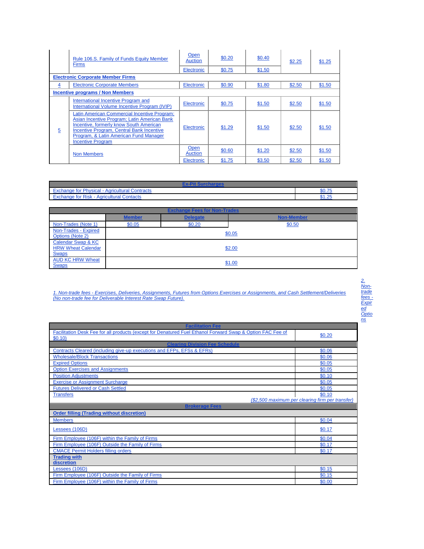|   | Rule 106.S. Family of Funds Equity Member<br><b>Firms</b>                                                                                                                                                                                                  | Open<br><b>Auction</b> | \$0.20 | \$0.40 | \$2.25 | \$1.25 |
|---|------------------------------------------------------------------------------------------------------------------------------------------------------------------------------------------------------------------------------------------------------------|------------------------|--------|--------|--------|--------|
|   |                                                                                                                                                                                                                                                            | Electronic             | \$0.75 | \$1.50 |        |        |
|   | <b>Electronic Corporate Member Firms</b>                                                                                                                                                                                                                   |                        |        |        |        |        |
| 4 | <b>Electronic Corporate Members</b>                                                                                                                                                                                                                        | Electronic             | \$0.90 | \$1.80 | \$2.50 | \$1.50 |
|   | <b>Incentive programs / Non Members</b>                                                                                                                                                                                                                    |                        |        |        |        |        |
|   | International Incentive Program and<br>International Volume Incentive Program (IVIP)                                                                                                                                                                       | Electronic             | \$0.75 | \$1.50 | \$2.50 | \$1.50 |
| 5 | Latin American Commercial Incentive Program;<br>Asian Incentive Program; Latin American Bank<br>Incentive, formerly know South American<br>Incentive Program, Central Bank Incentive<br>Program, & Latin American Fund Manager<br><b>Incentive Program</b> | Electronic             | \$1.29 | \$1.50 | \$2.50 | \$1.50 |
|   | Non Members                                                                                                                                                                                                                                                | <b>Open</b><br>Auction | \$0.60 | \$1.20 | \$2.50 | \$1.50 |
|   |                                                                                                                                                                                                                                                            | Electronic             | \$1.75 | \$3.50 | \$2.50 | \$1.50 |

| anne for Physical Art<br>⋅ Agricultural Contracts<br>-xchange | $-00.7$ |  |  |
|---------------------------------------------------------------|---------|--|--|
| <b>Agricultural Contacts</b><br>for Risk<br>-xchange          | つに<br>. |  |  |

| <b>Exchange Fees for Non-Trades</b>                             |               |                 |                   |  |  |
|-----------------------------------------------------------------|---------------|-----------------|-------------------|--|--|
|                                                                 | <b>Member</b> | <b>Delegate</b> | <b>Non-Member</b> |  |  |
| Non-Trades (Note 1)                                             | \$0.05        | \$0.20          | \$0.50            |  |  |
| Non-Trades - Expired<br>Options (Note 2)                        |               |                 | \$0.05            |  |  |
| Calendar Swap & KC<br><b>HRW Wheat Calendar</b><br><b>Swaps</b> |               |                 | \$2.00            |  |  |
| <b>AUD KC HRW Wheat</b><br><b>Swaps</b>                         |               |                 | \$1.00            |  |  |

*1. Non-trade fees - Exercises, Deliveries, Assignments, Futures from Options Exercises or Assignments, and Cash Settlement/Deliveries (No non-trade fee for Deliverable Interest Rate Swap Future).*

| 2.<br>Non- |
|------------|
| trade      |
| fees       |
| Expir      |
| ed         |
| Optio      |
| ns         |

| <b>Facilitation Fee</b>                                                                                              |                                                  |  |  |
|----------------------------------------------------------------------------------------------------------------------|--------------------------------------------------|--|--|
| Facilitation Desk Fee for all products (except for Denatured Fuel Ethanol Forward Swap & Option FAC Fee of<br>\$0.10 | \$0.20                                           |  |  |
| <b>Clearing Division Fee Schedule</b>                                                                                |                                                  |  |  |
| Contracts Cleared (including give-up executions and EFPs, EFSs & EFRs)                                               | \$0.06                                           |  |  |
| <b>Wholesale/Block Transactions</b>                                                                                  | \$0.06                                           |  |  |
| <b>Expired Options</b>                                                                                               | \$0.05                                           |  |  |
| <b>Option Exercises and Assignments</b>                                                                              | \$0.05                                           |  |  |
| <b>Position Adiustments</b>                                                                                          | \$0.10                                           |  |  |
| <b>Exercise or Assignment Surcharge</b>                                                                              | \$0.05                                           |  |  |
| <b>Futures Delivered or Cash Settled</b>                                                                             | \$0.05                                           |  |  |
| <b>Transfers</b>                                                                                                     | \$0.10                                           |  |  |
|                                                                                                                      | (\$2,500 maximum per clearing firm per transfer) |  |  |
| <b>Brokerage Fees</b>                                                                                                |                                                  |  |  |
| <b>Order filling (Trading without discretion)</b>                                                                    |                                                  |  |  |
| <b>Members</b>                                                                                                       | \$0.04                                           |  |  |
| Lessees (106D)                                                                                                       | \$0.17                                           |  |  |
| Firm Employee (106F) within the Family of Firms                                                                      | \$0.04                                           |  |  |
| Firm Employee (106F) Outside the Family of Firms                                                                     | \$0.17                                           |  |  |
| <b>CMACE Permit Holders filling orders</b>                                                                           | \$0.17                                           |  |  |
| <b>Trading with</b><br>discretion                                                                                    |                                                  |  |  |
| Lessees (106D)                                                                                                       | \$0.15                                           |  |  |
| Firm Employee (106F) Outside the Family of Firms                                                                     | \$0.15                                           |  |  |
| Firm Employee (106F) within the Family of Firms                                                                      | \$0.00                                           |  |  |
|                                                                                                                      |                                                  |  |  |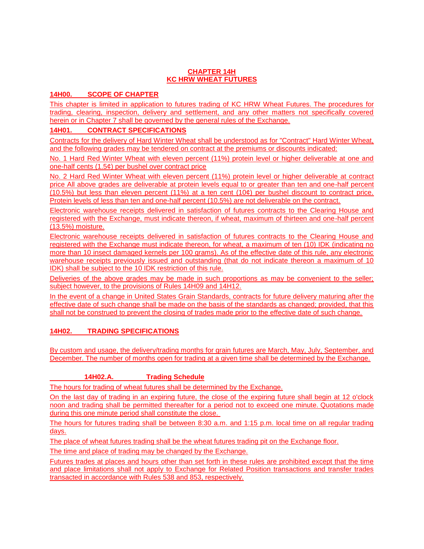# **CHAPTER 14H KC HRW WHEAT FUTURES**

# **14H00. SCOPE OF CHAPTER**

This chapter is limited in application to futures trading of KC HRW Wheat Futures. The procedures for trading, clearing, inspection, delivery and settlement, and any other matters not specifically covered herein or in Chapter 7 shall be governed by the general rules of the Exchange.

# **14H01. CONTRACT SPECIFICATIONS**

Contracts for the delivery of Hard Winter Wheat shall be understood as for "Contract" Hard Winter Wheat, and the following grades may be tendered on contract at the premiums or discounts indicated:

No. 1 Hard Red Winter Wheat with eleven percent (11%) protein level or higher deliverable at one and one-half cents (1.5¢) per bushel over contract price

No. 2 Hard Red Winter Wheat with eleven percent (11%) protein level or higher deliverable at contract price All above grades are deliverable at protein levels equal to or greater than ten and one-half percent (10.5%) but less than eleven percent (11%) at a ten cent (10¢) per bushel discount to contract price. Protein levels of less than ten and one-half percent (10.5%) are not deliverable on the contract.

Electronic warehouse receipts delivered in satisfaction of futures contracts to the Clearing House and registered with the Exchange, must indicate thereon, if wheat, maximum of thirteen and one-half percent (13.5%) moisture.

Electronic warehouse receipts delivered in satisfaction of futures contracts to the Clearing House and registered with the Exchange must indicate thereon, for wheat, a maximum of ten (10) IDK (indicating no more than 10 insect damaged kernels per 100 grams). As of the effective date of this rule, any electronic warehouse receipts previously issued and outstanding (that do not indicate thereon a maximum of 10 IDK) shall be subject to the 10 IDK restriction of this rule.

Deliveries of the above grades may be made in such proportions as may be convenient to the seller; subject however, to the provisions of Rules 14H09 and 14H12.

In the event of a change in United States Grain Standards, contracts for future delivery maturing after the effective date of such change shall be made on the basis of the standards as changed; provided, that this shall not be construed to prevent the closing of trades made prior to the effective date of such change.

# **14H02. TRADING SPECIFICATIONS**

By custom and usage, the delivery/trading months for grain futures are March, May, July, September, and December. The number of months open for trading at a given time shall be determined by the Exchange.

# **14H02.A. Trading Schedule**

The hours for trading of wheat futures shall be determined by the Exchange.

On the last day of trading in an expiring future, the close of the expiring future shall begin at 12 o'clock noon and trading shall be permitted thereafter for a period not to exceed one minute. Quotations made during this one minute period shall constitute the close.

The hours for futures trading shall be between 8:30 a.m. and 1:15 p.m. local time on all regular trading days.

The place of wheat futures trading shall be the wheat futures trading pit on the Exchange floor.

The time and place of trading may be changed by the Exchange.

Futures trades at places and hours other than set forth in these rules are prohibited except that the time and place limitations shall not apply to Exchange for Related Position transactions and transfer trades transacted in accordance with Rules 538 and 853, respectively.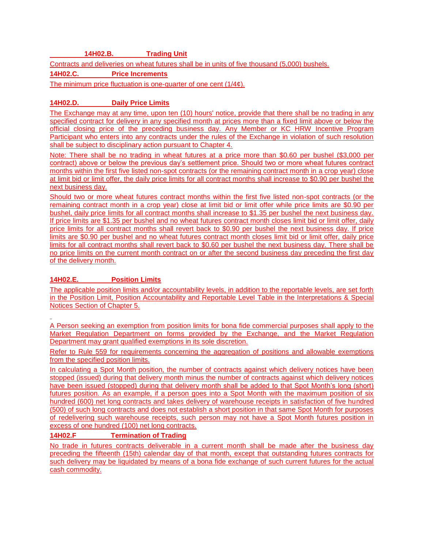# **14H02.B. Trading Unit**

Contracts and deliveries on wheat futures shall be in units of five thousand (5,000) bushels.

**14H02.C. Price Increments**

The minimum price fluctuation is one-quarter of one cent (1/4¢).

# **14H02.D. Daily Price Limits**

The Exchange may at any time, upon ten (10) hours' notice, provide that there shall be no trading in any specified contract for delivery in any specified month at prices more than a fixed limit above or below the official closing price of the preceding business day. Any Member or KC HRW Incentive Program Participant who enters into any contracts under the rules of the Exchange in violation of such resolution shall be subject to disciplinary action pursuant to Chapter 4.

Note: There shall be no trading in wheat futures at a price more than \$0.60 per bushel (\$3,000 per contract) above or below the previous day's settlement price. Should two or more wheat futures contract months within the first five listed non-spot contracts (or the remaining contract month in a crop year) close at limit bid or limit offer, the daily price limits for all contract months shall increase to \$0.90 per bushel the next business day.

Should two or more wheat futures contract months within the first five listed non-spot contracts (or the remaining contract month in a crop year) close at limit bid or limit offer while price limits are \$0.90 per bushel, daily price limits for all contract months shall increase to \$1.35 per bushel the next business day. If price limits are \$1.35 per bushel and no wheat futures contract month closes limit bid or limit offer, daily price limits for all contract months shall revert back to \$0.90 per bushel the next business day. If price limits are \$0.90 per bushel and no wheat futures contract month closes limit bid or limit offer, daily price limits for all contract months shall revert back to \$0.60 per bushel the next business day. There shall be no price limits on the current month contract on or after the second business day preceding the first day of the delivery month.

# **14H02.E. Position Limits**

The applicable position limits and/or accountability levels, in addition to the reportable levels, are set forth in the Position Limit, Position Accountability and Reportable Level Table in the Interpretations & Special Notices Section of Chapter 5.

A Person seeking an exemption from position limits for bona fide commercial purposes shall apply to the Market Regulation Department on forms provided by the Exchange, and the Market Regulation Department may grant qualified exemptions in its sole discretion.

Refer to Rule 559 for requirements concerning the aggregation of positions and allowable exemptions from the specified position limits.

In calculating a Spot Month position, the number of contracts against which delivery notices have been stopped (issued) during that delivery month minus the number of contracts against which delivery notices have been issued (stopped) during that delivery month shall be added to that Spot Month's long (short) futures position. As an example, if a person goes into a Spot Month with the maximum position of six hundred (600) net long contracts and takes delivery of warehouse receipts in satisfaction of five hundred (500) of such long contracts and does not establish a short position in that same Spot Month for purposes of redelivering such warehouse receipts, such person may not have a Spot Month futures position in excess of one hundred (100) net long contracts.

# **14H02.F Termination of Trading**

No trade in futures contracts deliverable in a current month shall be made after the business day preceding the fifteenth (15th) calendar day of that month, except that outstanding futures contracts for such delivery may be liquidated by means of a bona fide exchange of such current futures for the actual cash commodity.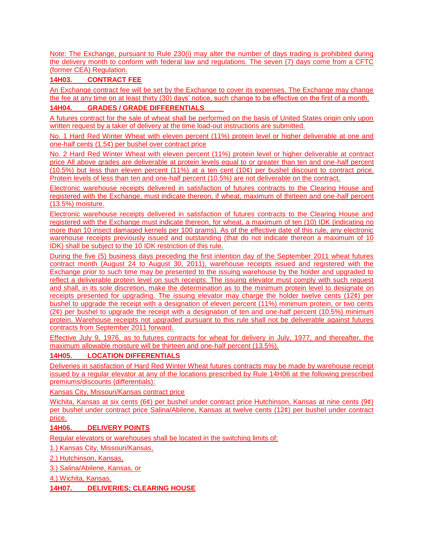Note: The Exchange, pursuant to Rule 230(i) may alter the number of days trading is prohibited during the delivery month to conform with federal law and regulations. The seven (7) days come from a CFTC (former CEA) Regulation.

# **14H03. CONTRACT FEE**

An Exchange contract fee will be set by the Exchange to cover its expenses. The Exchange may change the fee at any time on at least thirty (30) days' notice, such change to be effective on the first of a month.

# **14H04. GRADES / GRADE DIFFERENTIALS**

A futures contract for the sale of wheat shall be performed on the basis of United States origin only upon written request by a taker of delivery at the time load-out instructions are submitted.

No. 1 Hard Red Winter Wheat with eleven percent (11%) protein level or higher deliverable at one and one-half cents (1.5¢) per bushel over contract price

No. 2 Hard Red Winter Wheat with eleven percent (11%) protein level or higher deliverable at contract price All above grades are deliverable at protein levels equal to or greater than ten and one-half percent (10.5%) but less than eleven percent (11%) at a ten cent (10¢) per bushel discount to contract price. Protein levels of less than ten and one-half percent (10.5%) are not deliverable on the contract.

Electronic warehouse receipts delivered in satisfaction of futures contracts to the Clearing House and registered with the Exchange, must indicate thereon, if wheat, maximum of thirteen and one-half percent (13.5%) moisture.

Electronic warehouse receipts delivered in satisfaction of futures contracts to the Clearing House and registered with the Exchange must indicate thereon, for wheat, a maximum of ten (10) IDK (indicating no more than 10 insect damaged kernels per 100 grams). As of the effective date of this rule, any electronic warehouse receipts previously issued and outstanding (that do not indicate thereon a maximum of 10 IDK) shall be subject to the 10 IDK restriction of this rule.

During the five (5) business days preceding the first intention day of the September 2011 wheat futures contract month (August 24 to August 30, 2011), warehouse receipts issued and registered with the Exchange prior to such time may be presented to the issuing warehouse by the holder and upgraded to reflect a deliverable protein level on such receipts. The issuing elevator must comply with such request and shall, in its sole discretion, make the determination as to the minimum protein level to designate on receipts presented for upgrading. The issuing elevator may charge the holder twelve cents  $(12¢)$  per bushel to upgrade the receipt with a designation of eleven percent (11%) minimum protein, or two cents  $(2¢)$  per bushel to upgrade the receipt with a designation of ten and one-half percent (10.5%) minimum protein. Warehouse receipts not upgraded pursuant to this rule shall not be deliverable against futures contracts from September 2011 forward.

Effective July 9, 1976, as to futures contracts for wheat for delivery in July, 1977, and thereafter, the maximum allowable moisture will be thirteen and one-half percent (13.5%).

# **14H05. LOCATION DIFFERENTIALS**

Deliveries in satisfaction of Hard Red Winter Wheat futures contracts may be made by warehouse receipt issued by a regular elevator at any of the locations prescribed by Rule 14H06 at the following prescribed premiums/discounts (differentials):

Kansas City, Missouri/Kansas contract price

Wichita, Kansas at six cents (6¢) per bushel under contract price Hutchinson, Kansas at nine cents (9¢) per bushel under contract price Salina/Abilene, Kansas at twelve cents (12¢) per bushel under contract price.

# **14H06. DELIVERY POINTS**

Regular elevators or warehouses shall be located in the switching limits of:

1.) Kansas City, Missouri/Kansas,

2.) Hutchinson, Kansas,

3.) Salina/Abilene, Kansas, or

4.) Wichita, Kansas.

**14H07. DELIVERIES; CLEARING HOUSE**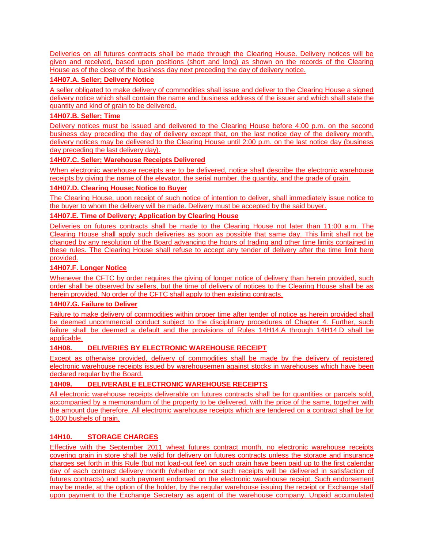Deliveries on all futures contracts shall be made through the Clearing House. Delivery notices will be given and received, based upon positions (short and long) as shown on the records of the Clearing House as of the close of the business day next preceding the day of delivery notice.

# **14H07.A. Seller; Delivery Notice**

A seller obligated to make delivery of commodities shall issue and deliver to the Clearing House a signed delivery notice which shall contain the name and business address of the issuer and which shall state the quantity and kind of grain to be delivered.

# **14H07.B. Seller; Time**

Delivery notices must be issued and delivered to the Clearing House before 4:00 p.m. on the second business day preceding the day of delivery except that, on the last notice day of the delivery month, delivery notices may be delivered to the Clearing House until 2:00 p.m. on the last notice day (business day preceding the last delivery day).

# **14H07.C. Seller; Warehouse Receipts Delivered**

When electronic warehouse receipts are to be delivered, notice shall describe the electronic warehouse receipts by giving the name of the elevator, the serial number, the quantity, and the grade of grain.

# **14H07.D. Clearing House; Notice to Buyer**

The Clearing House, upon receipt of such notice of intention to deliver, shall immediately issue notice to the buyer to whom the delivery will be made. Delivery must be accepted by the said buyer.

# **14H07.E. Time of Delivery; Application by Clearing House**

Deliveries on futures contracts shall be made to the Clearing House not later than 11:00 a.m. The Clearing House shall apply such deliveries as soon as possible that same day. This limit shall not be changed by any resolution of the Board advancing the hours of trading and other time limits contained in these rules. The Clearing House shall refuse to accept any tender of delivery after the time limit here provided.

# **14H07.F. Longer Notice**

Whenever the CFTC by order requires the giving of longer notice of delivery than herein provided, such order shall be observed by sellers, but the time of delivery of notices to the Clearing House shall be as herein provided. No order of the CFTC shall apply to then existing contracts.

# **14H07.G. Failure to Deliver**

Failure to make delivery of commodities within proper time after tender of notice as herein provided shall be deemed uncommercial conduct subject to the disciplinary procedures of Chapter 4. Further, such failure shall be deemed a default and the provisions of Rules 14H14.A through 14H14.D shall be applicable.

# **14H08. DELIVERIES BY ELECTRONIC WAREHOUSE RECEIPT**

Except as otherwise provided, delivery of commodities shall be made by the delivery of registered electronic warehouse receipts issued by warehousemen against stocks in warehouses which have been declared regular by the Board.

# **14H09. DELIVERABLE ELECTRONIC WAREHOUSE RECEIPTS**

All electronic warehouse receipts deliverable on futures contracts shall be for quantities or parcels sold, accompanied by a memorandum of the property to be delivered, with the price of the same, together with the amount due therefore. All electronic warehouse receipts which are tendered on a contract shall be for 5,000 bushels of grain.

# **14H10. STORAGE CHARGES**

Effective with the September 2011 wheat futures contract month, no electronic warehouse receipts covering grain in store shall be valid for delivery on futures contracts unless the storage and insurance charges set forth in this Rule (but not load-out fee) on such grain have been paid up to the first calendar day of each contract delivery month (whether or not such receipts will be delivered in satisfaction of futures contracts) and such payment endorsed on the electronic warehouse receipt. Such endorsement may be made, at the option of the holder, by the regular warehouse issuing the receipt or Exchange staff upon payment to the Exchange Secretary as agent of the warehouse company. Unpaid accumulated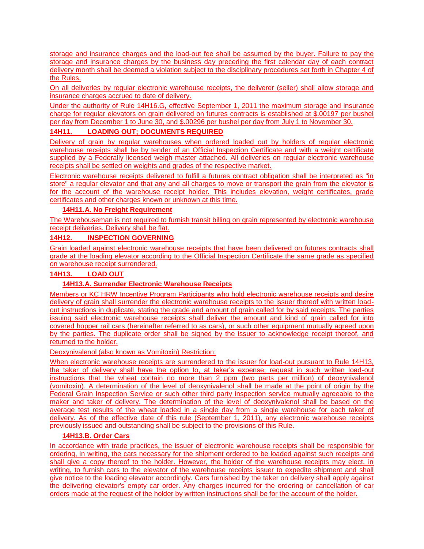storage and insurance charges and the load-out fee shall be assumed by the buyer. Failure to pay the storage and insurance charges by the business day preceding the first calendar day of each contract delivery month shall be deemed a violation subject to the disciplinary procedures set forth in Chapter 4 of the Rules.

On all deliveries by regular electronic warehouse receipts, the deliverer (seller) shall allow storage and insurance charges accrued to date of delivery.

Under the authority of Rule 14H16.G, effective September 1, 2011 the maximum storage and insurance charge for regular elevators on grain delivered on futures contracts is established at \$.00197 per bushel per day from December 1 to June 30, and \$.00296 per bushel per day from July 1 to November 30.

# **14H11. LOADING OUT; DOCUMENTS REQUIRED**

Delivery of grain by regular warehouses when ordered loaded out by holders of regular electronic warehouse receipts shall be by tender of an Official Inspection Certificate and with a weight certificate supplied by a Federally licensed weigh master attached. All deliveries on regular electronic warehouse receipts shall be settled on weights and grades of the respective market.

Electronic warehouse receipts delivered to fulfill a futures contract obligation shall be interpreted as "in store" a regular elevator and that any and all charges to move or transport the grain from the elevator is for the account of the warehouse receipt holder. This includes elevation, weight certificates, grade certificates and other charges known or unknown at this time.

# **14H11.A. No Freight Requirement**

The Warehouseman is not required to furnish transit billing on grain represented by electronic warehouse receipt deliveries. Delivery shall be flat.

# **14H12. INSPECTION GOVERNING**

Grain loaded against electronic warehouse receipts that have been delivered on futures contracts shall grade at the loading elevator according to the Official Inspection Certificate the same grade as specified on warehouse receipt surrendered.

# **14H13. LOAD OUT**

# **14H13.A. Surrender Electronic Warehouse Receipts**

Members or KC HRW Incentive Program Participants who hold electronic warehouse receipts and desire delivery of grain shall surrender the electronic warehouse receipts to the issuer thereof with written loadout instructions in duplicate, stating the grade and amount of grain called for by said receipts. The parties issuing said electronic warehouse receipts shall deliver the amount and kind of grain called for into covered hopper rail cars (hereinafter referred to as cars), or such other equipment mutually agreed upon by the parties. The duplicate order shall be signed by the issuer to acknowledge receipt thereof, and returned to the holder.

#### Deoxynivalenol (also known as Vomitoxin) Restriction:

When electronic warehouse receipts are surrendered to the issuer for load-out pursuant to Rule 14H13, the taker of delivery shall have the option to, at taker's expense, request in such written load-out instructions that the wheat contain no more than 2 ppm (two parts per million) of deoxynivalenol (vomitoxin). A determination of the level of deoxynivalenol shall be made at the point of origin by the Federal Grain Inspection Service or such other third party inspection service mutually agreeable to the maker and taker of delivery. The determination of the level of deoxynivalenol shall be based on the average test results of the wheat loaded in a single day from a single warehouse for each taker of delivery. As of the effective date of this rule (September 1, 2011), any electronic warehouse receipts previously issued and outstanding shall be subject to the provisions of this Rule.

#### **14H13.B. Order Cars**

In accordance with trade practices, the issuer of electronic warehouse receipts shall be responsible for ordering, in writing, the cars necessary for the shipment ordered to be loaded against such receipts and shall give a copy thereof to the holder. However, the holder of the warehouse receipts may elect, in writing, to furnish cars to the elevator of the warehouse receipts issuer to expedite shipment and shall give notice to the loading elevator accordingly. Cars furnished by the taker on delivery shall apply against the delivering elevator's empty car order. Any charges incurred for the ordering or cancellation of car orders made at the request of the holder by written instructions shall be for the account of the holder.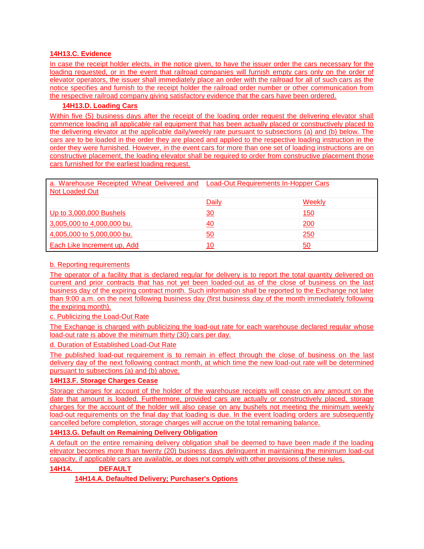### **14H13.C. Evidence**

In case the receipt holder elects, in the notice given, to have the issuer order the cars necessary for the loading requested, or in the event that railroad companies will furnish empty cars only on the order of elevator operators, the issuer shall immediately place an order with the railroad for all of such cars as the notice specifies and furnish to the receipt holder the railroad order number or other communication from the respective railroad company giving satisfactory evidence that the cars have been ordered.

# **14H13.D. Loading Cars**

Within five (5) business days after the receipt of the loading order request the delivering elevator shall commence loading all applicable rail equipment that has been actually placed or constructively placed to the delivering elevator at the applicable daily/weekly rate pursuant to subsections (a) and (b) below. The cars are to be loaded in the order they are placed and applied to the respective loading instruction in the order they were furnished. However, in the event cars for more than one set of loading instructions are on constructive placement, the loading elevator shall be required to order from constructive placement those cars furnished for the earliest loading request.

| a. Warehouse Receipted Wheat Delivered and<br>Not Loaded Out | <b>Load-Out Requirements In-Hopper Cars</b> |        |  |
|--------------------------------------------------------------|---------------------------------------------|--------|--|
|                                                              | Daily                                       | Weekly |  |
| Up to 3,000,000 Bushels                                      | $\overline{30}$                             | 150    |  |
| 3,005,000 to 4,000,000 bu.                                   | <u>40</u>                                   | 200    |  |
| 4,005,000 to 5,000,000 bu.                                   | $\overline{50}$                             | 250    |  |
| Each Like Increment up, Add                                  | 10                                          | 50     |  |

### b. Reporting requirements

The operator of a facility that is declared regular for delivery is to report the total quantity delivered on current and prior contracts that has not yet been loaded-out as of the close of business on the last business day of the expiring contract month. Such information shall be reported to the Exchange not later than 9:00 a.m. on the next following business day (first business day of the month immediately following the expiring month).

c. Publicizing the Load-Out Rate

The Exchange is charged with publicizing the load-out rate for each warehouse declared regular whose load-out rate is above the minimum thirty (30) cars per day.

d. Duration of Established Load-Out Rate

The published load-out requirement is to remain in effect through the close of business on the last delivery day of the next following contract month, at which time the new load-out rate will be determined pursuant to subsections (a) and (b) above.

# **14H13.F. Storage Charges Cease**

Storage charges for account of the holder of the warehouse receipts will cease on any amount on the date that amount is loaded. Furthermore, provided cars are actually or constructively placed, storage charges for the account of the holder will also cease on any bushels not meeting the minimum weekly load-out requirements on the final day that loading is due. In the event loading orders are subsequently cancelled before completion, storage charges will accrue on the total remaining balance.

# **14H13.G. Default on Remaining Delivery Obligation**

A default on the entire remaining delivery obligation shall be deemed to have been made if the loading elevator becomes more than twenty (20) business days delinquent in maintaining the minimum load-out capacity, if applicable cars are available, or does not comply with other provisions of these rules.

**14H14. DEFAULT**

**14H14.A. Defaulted Delivery; Purchaser's Options**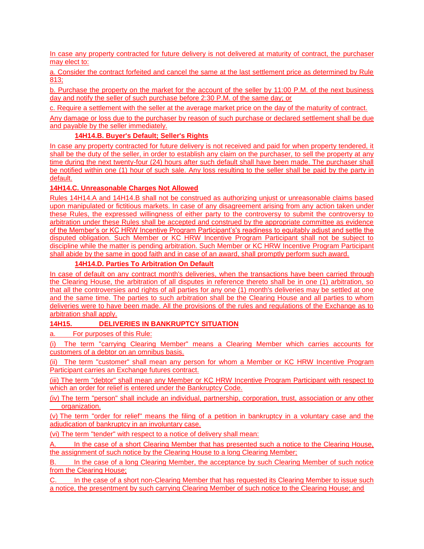In case any property contracted for future delivery is not delivered at maturity of contract, the purchaser may elect to:

a. Consider the contract forfeited and cancel the same at the last settlement price as determined by Rule 813;

b. Purchase the property on the market for the account of the seller by 11:00 P.M. of the next business day and notify the seller of such purchase before 2:30 P.M. of the same day; or

c. Require a settlement with the seller at the average market price on the day of the maturity of contract.

Any damage or loss due to the purchaser by reason of such purchase or declared settlement shall be due and payable by the seller immediately.

# **14H14.B. Buyer's Default; Seller's Rights**

In case any property contracted for future delivery is not received and paid for when property tendered, it shall be the duty of the seller, in order to establish any claim on the purchaser, to sell the property at any time during the next twenty-four (24) hours after such default shall have been made. The purchaser shall be notified within one (1) hour of such sale. Any loss resulting to the seller shall be paid by the party in default.

# **14H14.C. Unreasonable Charges Not Allowed**

Rules 14H14.A and 14H14.B shall not be construed as authorizing unjust or unreasonable claims based upon manipulated or fictitious markets. In case of any disagreement arising from any action taken under these Rules, the expressed willingness of either party to the controversy to submit the controversy to arbitration under these Rules shall be accepted and construed by the appropriate committee as evidence of the Member's or KC HRW Incentive Program Participant's's readiness to equitably adjust and settle the disputed obligation. Such Member or KC HRW Incentive Program Participant shall not be subject to discipline while the matter is pending arbitration. Such Member or KC HRW Incentive Program Participant shall abide by the same in good faith and in case of an award, shall promptly perform such award.

# **14H14.D. Parties To Arbitration On Default**

In case of default on any contract month's deliveries, when the transactions have been carried through the Clearing House, the arbitration of all disputes in reference thereto shall be in one (1) arbitration, so that all the controversies and rights of all parties for any one (1) month's deliveries may be settled at one and the same time. The parties to such arbitration shall be the Clearing House and all parties to whom deliveries were to have been made. All the provisions of the rules and regulations of the Exchange as to arbitration shall apply.

# **14H15. DELIVERIES IN BANKRUPTCY SITUATION**

a. For purposes of this Rule:

(i) The term "carrying Clearing Member" means a Clearing Member which carries accounts for customers of a debtor on an omnibus basis.

(ii) The term "customer" shall mean any person for whom a Member or KC HRW Incentive Program Participant carries an Exchange futures contract.

(iii) The term "debtor" shall mean any Member or KC HRW Incentive Program Participant with respect to which an order for relief is entered under the Bankruptcy Code.

(iv) The term "person" shall include an individual, partnership, corporation, trust, association or any other organization.

(v) The term "order for relief" means the filing of a petition in bankruptcy in a voluntary case and the adjudication of bankruptcy in an involuntary case.

(vi) The term "tender" with respect to a notice of delivery shall mean:

A. In the case of a short Clearing Member that has presented such a notice to the Clearing House, the assignment of such notice by the Clearing House to a long Clearing Member;

B. In the case of a long Clearing Member, the acceptance by such Clearing Member of such notice from the Clearing House;

C. In the case of a short non-Clearing Member that has requested its Clearing Member to issue such a notice, the presentment by such carrying Clearing Member of such notice to the Clearing House; and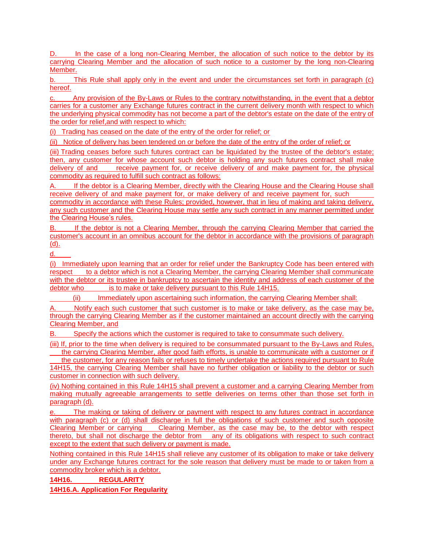D. In the case of a long non-Clearing Member, the allocation of such notice to the debtor by its carrying Clearing Member and the allocation of such notice to a customer by the long non-Clearing Member.

b. This Rule shall apply only in the event and under the circumstances set forth in paragraph (c) hereof.

c. Any provision of the By-Laws or Rules to the contrary notwithstanding, in the event that a debtor carries for a customer any Exchange futures contract in the current delivery month with respect to which the underlying physical commodity has not become a part of the debtor's estate on the date of the entry of the order for relief,and with respect to which:

(i) Trading has ceased on the date of the entry of the order for relief; or

(ii) Notice of delivery has been tendered on or before the date of the entry of the order of relief; or

(iii) Trading ceases before such futures contract can be liquidated by the trustee of the debtor's estate; then, any customer for whose account such debtor is holding any such futures contract shall make delivery of and receive payment for, or receive delivery of and make payment for, the physical commodity as required to fulfill such contract as follows:

A. If the debtor is a Clearing Member, directly with the Clearing House and the Clearing House shall receive delivery of and make payment for, or make delivery of and receive payment for, such commodity in accordance with these Rules; provided, however, that in lieu of making and taking delivery, any such customer and the Clearing House may settle any such contract in any manner permitted under the Clearing House's rules.

B. If the debtor is not a Clearing Member, through the carrying Clearing Member that carried the customer's account in an omnibus account for the debtor in accordance with the provisions of paragraph (d).

d.

(i) Immediately upon learning that an order for relief under the Bankruptcy Code has been entered with respect to a debtor which is not a Clearing Member, the carrying Clearing Member shall communicate with the debtor or its trustee in bankruptcy to ascertain the identity and address of each customer of the debtor who is to make or take delivery pursuant to this Rule 14H15.

(ii) Immediately upon ascertaining such information, the carrying Clearing Member shall:

Notify each such customer that such customer is to make or take delivery, as the case may be, through the carrying Clearing Member as if the customer maintained an account directly with the carrying Clearing Member, and

B. Specify the actions which the customer is required to take to consummate such delivery.

(iii) If, prior to the time when delivery is required to be consummated pursuant to the By-Laws and Rules, the carrying Clearing Member, after good faith efforts, is unable to communicate with a customer or if

 the customer, for any reason fails or refuses to timely undertake the actions required pursuant to Rule 14H15, the carrying Clearing Member shall have no further obligation or liability to the debtor or such customer in connection with such delivery.

(iv) Nothing contained in this Rule 14H15 shall prevent a customer and a carrying Clearing Member from making mutually agreeable arrangements to settle deliveries on terms other than those set forth in paragraph (d).

e. The making or taking of delivery or payment with respect to any futures contract in accordance with paragraph (c) or (d) shall discharge in full the obligations of such customer and such opposite Clearing Member or carrying Clearing Member, as the case may be, to the debtor with respect thereto, but shall not discharge the debtor from any of its obligations with respect to such contract except to the extent that such delivery or payment is made.

Nothing contained in this Rule 14H15 shall relieve any customer of its obligation to make or take delivery under any Exchange futures contract for the sole reason that delivery must be made to or taken from a commodity broker which is a debtor.

**14H16. REGULARITY**

**14H16.A. Application For Regularity**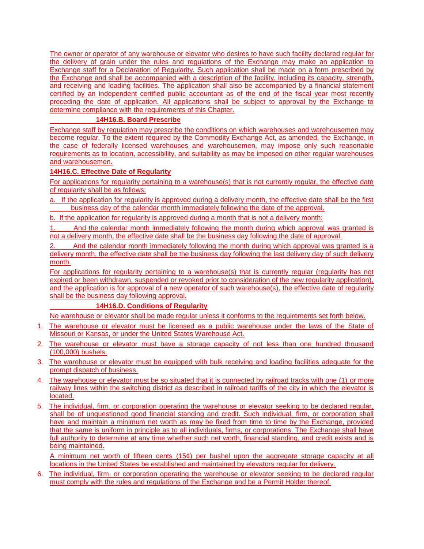The owner or operator of any warehouse or elevator who desires to have such facility declared regular for the delivery of grain under the rules and regulations of the Exchange may make an application to Exchange staff for a Declaration of Regularity. Such application shall be made on a form prescribed by the Exchange and shall be accompanied with a description of the facility, including its capacity, strength, and receiving and loading facilities. The application shall also be accompanied by a financial statement certified by an independent certified public accountant as of the end of the fiscal year most recently preceding the date of application. All applications shall be subject to approval by the Exchange to determine compliance with the requirements of this Chapter.

# **14H16.B. Board Prescribe**

Exchange staff by regulation may prescribe the conditions on which warehouses and warehousemen may become regular. To the extent required by the Commodity Exchange Act, as amended, the Exchange, in the case of federally licensed warehouses and warehousemen, may impose only such reasonable requirements as to location, accessibility, and suitability as may be imposed on other regular warehouses and warehousemen.

# **14H16.C. Effective Date of Regularity**

For applications for regularity pertaining to a warehouse(s) that is not currently regular, the effective date of regularity shall be as follows:

- a. If the application for regularity is approved during a delivery month, the effective date shall be the first business day of the calendar month immediately following the date of the approval.
- b. If the application for regularity is approved during a month that is not a delivery month:

1. And the calendar month immediately following the month during which approval was granted is not a delivery month, the effective date shall be the business day following the date of approval.

2. And the calendar month immediately following the month during which approval was granted is a delivery month, the effective date shall be the business day following the last delivery day of such delivery month.

For applications for regularity pertaining to a warehouse(s) that is currently regular (regularity has not expired or been withdrawn, suspended or revoked prior to consideration of the new regularity application), and the application is for approval of a new operator of such warehouse(s), the effective date of regularity shall be the business day following approval.

# **14H16.D. Conditions of Regularity**

No warehouse or elevator shall be made regular unless it conforms to the requirements set forth below.

- 1. The warehouse or elevator must be licensed as a public warehouse under the laws of the State of Missouri or Kansas, or under the United States Warehouse Act.
- 2. The warehouse or elevator must have a storage capacity of not less than one hundred thousand (100,000) bushels.
- 3. The warehouse or elevator must be equipped with bulk receiving and loading facilities adequate for the prompt dispatch of business.
- 4. The warehouse or elevator must be so situated that it is connected by railroad tracks with one (1) or more railway lines within the switching district as described in railroad tariffs of the city in which the elevator is located.
- 5. The individual, firm, or corporation operating the warehouse or elevator seeking to be declared regular, shall be of unquestioned good financial standing and credit. Such individual, firm, or corporation shall have and maintain a minimum net worth as may be fixed from time to time by the Exchange, provided that the same is uniform in principle as to all individuals, firms, or corporations. The Exchange shall have full authority to determine at any time whether such net worth, financial standing, and credit exists and is being maintained.

A minimum net worth of fifteen cents (15¢) per bushel upon the aggregate storage capacity at all locations in the United States be established and maintained by elevators regular for delivery.

6. The individual, firm, or corporation operating the warehouse or elevator seeking to be declared regular must comply with the rules and regulations of the Exchange and be a Permit Holder thereof.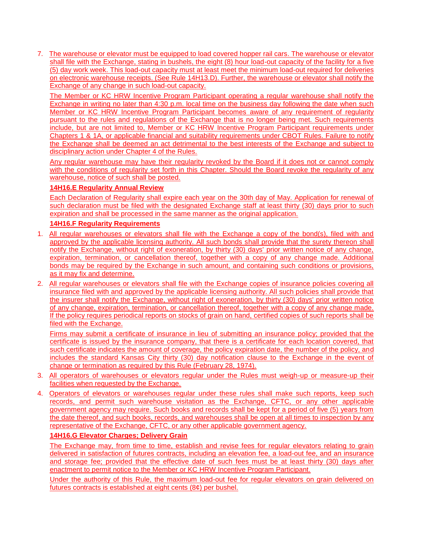7. The warehouse or elevator must be equipped to load covered hopper rail cars. The warehouse or elevator shall file with the Exchange, stating in bushels, the eight (8) hour load-out capacity of the facility for a five (5) day work week. This load-out capacity must at least meet the minimum load-out required for deliveries on electronic warehouse receipts. (See Rule 14H13.D). Further, the warehouse or elevator shall notify the Exchange of any change in such load-out capacity.

The Member or KC HRW Incentive Program Participant operating a regular warehouse shall notify the Exchange in writing no later than 4:30 p.m. local time on the business day following the date when such Member or KC HRW Incentive Program Participant becomes aware of any requirement of regularity pursuant to the rules and regulations of the Exchange that is no longer being met. Such requirements include, but are not limited to, Member or KC HRW Incentive Program Participant requirements under Chapters 1 & 1A, or applicable financial and suitability requirements under CBOT Rules. Failure to notify the Exchange shall be deemed an act detrimental to the best interests of the Exchange and subject to disciplinary action under Chapter 4 of the Rules.

Any regular warehouse may have their regularity revoked by the Board if it does not or cannot comply with the conditions of regularity set forth in this Chapter. Should the Board revoke the regularity of any warehouse, notice of such shall be posted.

# **14H16.E Regularity Annual Review**

Each Declaration of Regularity shall expire each year on the 30th day of May. Application for renewal of such declaration must be filed with the designated Exchange staff at least thirty (30) days prior to such expiration and shall be processed in the same manner as the original application.

### **14H16.F Regularity Requirements**

- 1. All regular warehouses or elevators shall file with the Exchange a copy of the bond(s), filed with and approved by the applicable licensing authority. All such bonds shall provide that the surety thereon shall notify the Exchange, without right of exoneration, by thirty (30) days' prior written notice of any change, expiration, termination, or cancellation thereof, together with a copy of any change made. Additional bonds may be required by the Exchange in such amount, and containing such conditions or provisions, as it may fix and determine.
- 2. All regular warehouses or elevators shall file with the Exchange copies of insurance policies covering all insurance filed with and approved by the applicable licensing authority. All such policies shall provide that the insurer shall notify the Exchange, without right of exoneration, by thirty (30) days' prior written notice of any change, expiration, termination, or cancellation thereof, together with a copy of any change made. If the policy requires periodical reports on stocks of grain on hand, certified copies of such reports shall be filed with the Exchange.

Firms may submit a certificate of insurance in lieu of submitting an insurance policy; provided that the certificate is issued by the insurance company, that there is a certificate for each location covered, that such certificate indicates the amount of coverage, the policy expiration date, the number of the policy, and includes the standard Kansas City thirty (30) day notification clause to the Exchange in the event of change or termination as required by this Rule (February 28, 1974).

- 3. All operators of warehouses or elevators regular under the Rules must weigh-up or measure-up their facilities when requested by the Exchange.
- 4. Operators of elevators or warehouses regular under these rules shall make such reports, keep such records, and permit such warehouse visitation as the Exchange, CFTC, or any other applicable government agency may require. Such books and records shall be kept for a period of five (5) years from the date thereof, and such books, records, and warehouses shall be open at all times to inspection by any representative of the Exchange, CFTC, or any other applicable government agency.

# **14H16.G Elevator Charges; Delivery Grain**

The Exchange may, from time to time, establish and revise fees for regular elevators relating to grain delivered in satisfaction of futures contracts, including an elevation fee, a load-out fee, and an insurance and storage fee; provided that the effective date of such fees must be at least thirty (30) days after enactment to permit notice to the Member or KC HRW Incentive Program Participant.

Under the authority of this Rule, the maximum load-out fee for regular elevators on grain delivered on futures contracts is established at eight cents (8¢) per bushel.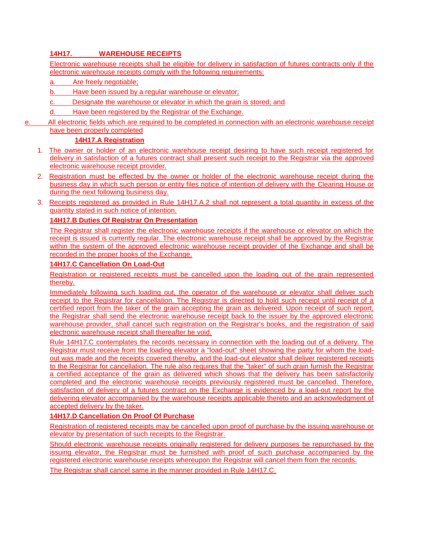# **14H17. WAREHOUSE RECEIPTS**

Electronic warehouse receipts shall be eligible for delivery in satisfaction of futures contracts only if the electronic warehouse receipts comply with the following requirements:

- a. Are freely negotiable;
- b. Have been issued by a regular warehouse or elevator;
- c. Designate the warehouse or elevator in which the grain is stored; and
- d. Have been registered by the Registrar of the Exchange.
- e. All electronic fields which are required to be completed in connection with an electronic warehouse receipt have been properly completed

# **14H17.A Registration**

- 1. The owner or holder of an electronic warehouse receipt desiring to have such receipt registered for delivery in satisfaction of a futures contract shall present such receipt to the Registrar via the approved electronic warehouse receipt provider.
- 2. Registration must be effected by the owner or holder of the electronic warehouse receipt during the business day in which such person or entity files notice of intention of delivery with the Clearing House or during the next following business day.
- 3. Receipts registered as provided in Rule 14H17.A.2 shall not represent a total quantity in excess of the quantity stated in such notice of intention.

# **14H17.B Duties Of Registrar On Presentation**

The Registrar shall register the electronic warehouse receipts if the warehouse or elevator on which the receipt is issued is currently regular. The electronic warehouse receipt shall be approved by the Registrar within the system of the approved electronic warehouse receipt provider of the Exchange and shall be recorded in the proper books of the Exchange.

### **14H17.C Cancellation On Load-Out**

Registration or registered receipts must be cancelled upon the loading out of the grain represented thereby.

Immediately following such loading out, the operator of the warehouse or elevator shall deliver such receipt to the Registrar for cancellation. The Registrar is directed to hold such receipt until receipt of a certified report from the taker of the grain accepting the grain as delivered. Upon receipt of such report, the Registrar shall send the electronic warehouse receipt back to the issuer by the approved electronic warehouse provider, shall cancel such registration on the Registrar's books, and the registration of said electronic warehouse receipt shall thereafter be void.

Rule 14H17.C contemplates the records necessary in connection with the loading out of a delivery. The Registrar must receive from the loading elevator a "load-out" sheet showing the party for whom the loadout was made and the receipts covered thereby, and the load-out elevator shall deliver registered receipts to the Registrar for cancellation. The rule also requires that the "taker" of such grain furnish the Registrar a certified acceptance of the grain as delivered which shows that the delivery has been satisfactorily completed and the electronic warehouse receipts previously registered must be cancelled. Therefore, satisfaction of delivery of a futures contract on the Exchange is evidenced by a load-out report by the delivering elevator accompanied by the warehouse receipts applicable thereto and an acknowledgment of accepted delivery by the taker.

# **14H17.D Cancellation On Proof Of Purchase**

Registration of registered receipts may be cancelled upon proof of purchase by the issuing warehouse or elevator by presentation of such receipts to the Registrar.

Should electronic warehouse receipts originally registered for delivery purposes be repurchased by the issuing elevator, the Registrar must be furnished with proof of such purchase accompanied by the registered electronic warehouse receipts whereupon the Registrar will cancel them from the records.

The Registrar shall cancel same in the manner provided in Rule 14H17.C.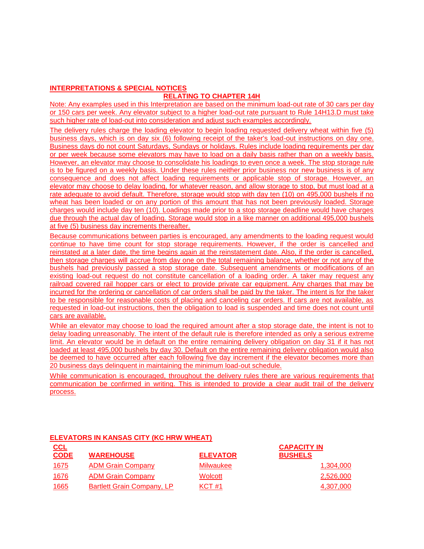# **INTERPRETATIONS & SPECIAL NOTICES**

# **RELATING TO CHAPTER 14H**

Note: Any examples used in this Interpretation are based on the minimum load-out rate of 30 cars per day or 150 cars per week. Any elevator subject to a higher load-out rate pursuant to Rule 14H13.D must take such higher rate of load-out into consideration and adjust such examples accordingly.

The delivery rules charge the loading elevator to begin loading requested delivery wheat within five (5) business days, which is on day six (6) following receipt of the taker's load-out instructions on day one. Business days do not count Saturdays, Sundays or holidays. Rules include loading requirements per day or per week because some elevators may have to load on a daily basis rather than on a weekly basis. However, an elevator may choose to consolidate his loadings to even once a week. The stop storage rule is to be figured on a weekly basis. Under these rules neither prior business nor new business is of any consequence and does not affect loading requirements or applicable stop of storage. However, an elevator may choose to delay loading, for whatever reason, and allow storage to stop, but must load at a rate adequate to avoid default. Therefore, storage would stop with day ten (10) on 495,000 bushels if no wheat has been loaded or on any portion of this amount that has not been previously loaded. Storage charges would include day ten (10). Loadings made prior to a stop storage deadline would have charges due through the actual day of loading. Storage would stop in a like manner on additional 495,000 bushels at five (5) business day increments thereafter.

Because communications between parties is encouraged, any amendments to the loading request would continue to have time count for stop storage requirements. However, if the order is cancelled and reinstated at a later date, the time begins again at the reinstatement date. Also, if the order is cancelled, then storage charges will accrue from day one on the total remaining balance, whether or not any of the bushels had previously passed a stop storage date. Subsequent amendments or modifications of an existing load-out request do not constitute cancellation of a loading order. A taker may request any railroad covered rail hopper cars or elect to provide private car equipment. Any charges that may be incurred for the ordering or cancellation of car orders shall be paid by the taker. The intent is for the taker to be responsible for reasonable costs of placing and canceling car orders. If cars are not available, as requested in load-out instructions, then the obligation to load is suspended and time does not count until cars are available.

While an elevator may choose to load the required amount after a stop storage date, the intent is not to delay loading unreasonably. The intent of the default rule is therefore intended as only a serious extreme limit. An elevator would be in default on the entire remaining delivery obligation on day 31 if it has not loaded at least 495,000 bushels by day 30. Default on the entire remaining delivery obligation would also be deemed to have occurred after each following five day increment if the elevator becomes more than 20 business days delinquent in maintaining the minimum load-out schedule.

While communication is encouraged, throughout the delivery rules there are various requirements that communication be confirmed in writing. This is intended to provide a clear audit trail of the delivery process.

| CCL<br><b>CODE</b> | <b>WAREHOUSE</b>                  | <b>ELEVATOR</b> | <b>CAPACITY IN</b><br><b>BUSHELS</b> |
|--------------------|-----------------------------------|-----------------|--------------------------------------|
| <u> 1675</u>       | <b>ADM Grain Company</b>          | Milwaukee       | 1,304,000                            |
| 1676               | <b>ADM Grain Company</b>          | Wolcott         | 2,526,000                            |
| 1665               | <b>Bartlett Grain Company, LP</b> | <b>KCT #1</b>   | 4.307.000                            |

# **ELEVATORS IN KANSAS CITY (KC HRW WHEAT)**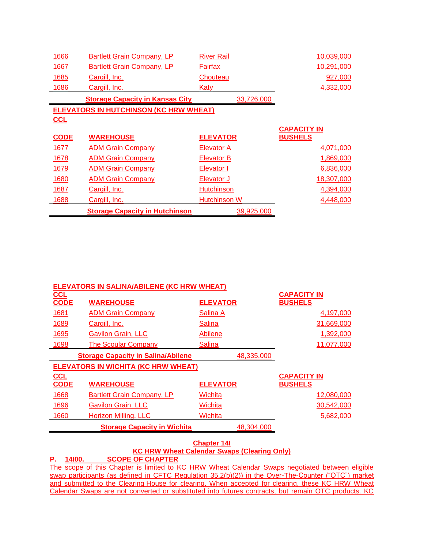| 1666                                          | <b>Bartlett Grain Company, LP</b>      | <b>River Rail</b>   | 10,039,000         |  |  |
|-----------------------------------------------|----------------------------------------|---------------------|--------------------|--|--|
| 1667                                          | <b>Bartlett Grain Company, LP</b>      | Fairfax             | 10,291,000         |  |  |
| 1685                                          | Cargill, Inc.                          | Chouteau            | 927,000            |  |  |
| 1686                                          | Cargill, Inc.                          | Katy                | 4,332,000          |  |  |
|                                               | <b>Storage Capacity in Kansas City</b> | 33,726,000          |                    |  |  |
| <b>ELEVATORS IN HUTCHINSON (KC HRW WHEAT)</b> |                                        |                     |                    |  |  |
| CCL                                           |                                        |                     |                    |  |  |
|                                               |                                        |                     | <b>CAPACITY IN</b> |  |  |
| <b>CODE</b>                                   | <b>WAREHOUSE</b>                       | <b>ELEVATOR</b>     | <b>BUSHELS</b>     |  |  |
| 1677                                          | <b>ADM Grain Company</b>               | Elevator A          | 4,071,000          |  |  |
| 1678                                          | <b>ADM Grain Company</b>               | <b>Elevator B</b>   | 1,869,000          |  |  |
| 1679                                          | <b>ADM Grain Company</b>               | Elevator I          | 6,836,000          |  |  |
| 1680                                          | <b>ADM Grain Company</b>               | Elevator J          | 18,307,000         |  |  |
| 1687                                          | Cargill, Inc.                          | <b>Hutchinson</b>   | 4,394,000          |  |  |
| 1688                                          | Cargill, Inc.                          | <b>Hutchinson W</b> | 4,448,000          |  |  |
|                                               | <b>Storage Capacity in Hutchinson</b>  | 39,925,000          |                    |  |  |

| <b>ELEVATORS IN SALINA/ABILENE (KC HRW WHEAT)</b> |                                           |                 |                    |  |  |
|---------------------------------------------------|-------------------------------------------|-----------------|--------------------|--|--|
| <b>CCL</b>                                        |                                           |                 | <b>CAPACITY IN</b> |  |  |
| <b>CODE</b>                                       | <b>WAREHOUSE</b>                          | <b>ELEVATOR</b> | <b>BUSHELS</b>     |  |  |
| 1681                                              | <b>ADM Grain Company</b>                  | <u>Salina A</u> | 4,197,000          |  |  |
| 1689                                              | Cargill, Inc.                             | <b>Salina</b>   | 31,669,000         |  |  |
| <u>1695</u>                                       | <b>Gavilon Grain, LLC</b>                 | <u>Abilene</u>  | 1,392,000          |  |  |
| 1698                                              | <b>The Scoular Company</b>                | <b>Salina</b>   | 11,077,000         |  |  |
|                                                   | <b>Storage Capacity in Salina/Abilene</b> | 48,335,000      |                    |  |  |
| <b>ELEVATORS IN WICHITA (KC HRW WHEAT)</b>        |                                           |                 |                    |  |  |
| <b>CCL</b>                                        |                                           |                 | <b>CAPACITY IN</b> |  |  |
| <b>CODE</b>                                       | <b>WAREHOUSE</b>                          | <b>ELEVATOR</b> | <b>BUSHELS</b>     |  |  |
| 1668                                              | <b>Bartlett Grain Company, LP</b>         | Wichita         | 12,080,000         |  |  |
| 1696                                              | <b>Gavilon Grain, LLC</b>                 | Wichita         | 30,542,000         |  |  |
| 1660                                              | Horizon Milling, LLC                      | Wichita         | 5,682,000          |  |  |
|                                                   | <b>Storage Capacity in Wichita</b>        | 48,304,000      |                    |  |  |

#### **Chapter 14I**

# **KC HRW Wheat Calendar Swaps (Clearing Only)**

**P. 14I00. SCOPE OF CHAPTER**

The scope of this Chapter is limited to KC HRW Wheat Calendar Swaps negotiated between eligible swap participants (as defined in CFTC Regulation 35.2(b)(2)) in the Over-The-Counter ("OTC") market and submitted to the Clearing House for clearing. When accepted for clearing, these KC HRW Wheat Calendar Swaps are not converted or substituted into futures contracts, but remain OTC products. KC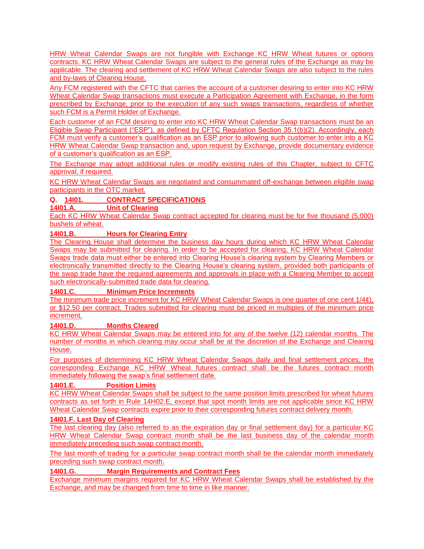HRW Wheat Calendar Swaps are not fungible with Exchange KC HRW Wheat futures or options contracts. KC HRW Wheat Calendar Swaps are subject to the general rules of the Exchange as may be applicable. The clearing and settlement of KC HRW Wheat Calendar Swaps are also subject to the rules and by-laws of Clearing House.

Any FCM registered with the CFTC that carries the account of a customer desiring to enter into KC HRW Wheat Calendar Swap transactions must execute a Participation Agreement with Exchange, in the form prescribed by Exchange, prior to the execution of any such swaps transactions, regardless of whether such FCM is a Permit Holder of Exchange.

Each customer of an FCM desiring to enter into KC HRW Wheat Calendar Swap transactions must be an Eligible Swap Participant ("ESP"), as defined by CFTC Regulation Section 35.1(b)(2). Accordingly, each FCM must verify a customer's qualification as an ESP prior to allowing such customer to enter into a KC HRW Wheat Calendar Swap transaction and, upon request by Exchange, provide documentary evidence of a customer's qualification as an ESP.

The Exchange may adopt additional rules or modify existing rules of this Chapter, subject to CFTC approval, if required.

KC HRW Wheat Calendar Swaps are negotiated and consummated off-exchange between eligible swap participants in the OTC market.

# **Q. 14I01. CONTRACT SPECIFICATIONS**

**14I01.A. Unit of Clearing**

Each KC HRW Wheat Calendar Swap contract accepted for clearing must be for five thousand (5,000) bushels of wheat.

# **14I01.B. Hours for Clearing Entry**

The Clearing House shall determine the business day hours during which KC HRW Wheat Calendar Swaps may be submitted for clearing. In order to be accepted for clearing, KC HRW Wheat Calendar Swaps trade data must either be entered into Clearing House's clearing system by Clearing Members or electronically transmitted directly to the Clearing House's clearing system, provided both participants of the swap trade have the required agreements and approvals in place with a Clearing Member to accept such electronically-submitted trade data for clearing.

# **14I01.C. Minimum Price Increments**

The minimum trade price increment for KC HRW Wheat Calendar Swaps is one quarter of one cent  $1/4¢$ ), or \$12.50 per contract. Trades submitted for clearing must be priced in multiples of the minimum price increment.

# **14I01.D. Months Cleared**

KC HRW Wheat Calendar Swaps may be entered into for any of the twelve (12) calendar months. The number of months in which clearing may occur shall be at the discretion of the Exchange and Clearing House.

For purposes of determining KC HRW Wheat Calendar Swaps daily and final settlement prices, the corresponding Exchange KC HRW Wheat futures contract shall be the futures contract month immediately following the swap's final settlement date.

# **14I01.E. Position Limits**

KC HRW Wheat Calendar Swaps shall be subject to the same position limits prescribed for wheat futures contracts as set forth in Rule 14H02.E, except that spot month limits are not applicable since KC HRW Wheat Calendar Swap contracts expire prior to their corresponding futures contract delivery month.

#### **14I01.F. Last Day of Clearing**

The last clearing day (also referred to as the expiration day or final settlement day) for a particular KC HRW Wheat Calendar Swap contract month shall be the last business day of the calendar month immediately preceding such swap contract month.

The last month of trading for a particular swap contract month shall be the calendar month immediately preceding such swap contract month.

# **14I01.G. Margin Requirements and Contract Fees**

Exchange minimum margins required for KC HRW Wheat Calendar Swaps shall be established by the Exchange, and may be changed from time to time in like manner.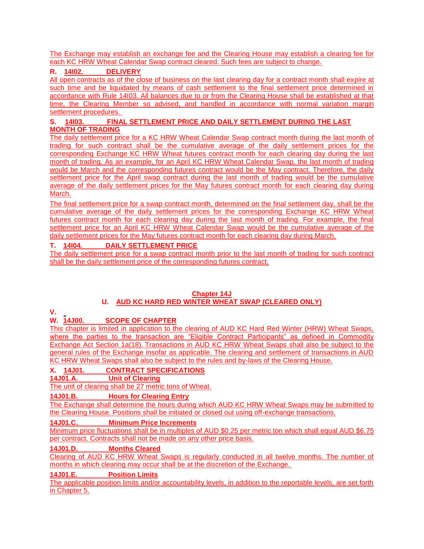The Exchange may establish an exchange fee and the Clearing House may establish a clearing fee for each KC HRW Wheat Calendar Swap contract cleared. Such fees are subject to change.

# **R. 14I02. DELIVERY**

All open contracts as of the close of business on the last clearing day for a contract month shall expire at such time and be liquidated by means of cash settlement to the final settlement price determined in accordance with Rule 14I03. All balances due to or from the Clearing House shall be established at that time, the Clearing Member so advised, and handled in accordance with normal variation margin settlement procedures.

# **S. 14I03. FINAL SETTLEMENT PRICE AND DAILY SETTLEMENT DURING THE LAST MONTH OF TRADING**

The daily settlement price for a KC HRW Wheat Calendar Swap contract month during the last month of trading for such contract shall be the cumulative average of the daily settlement prices for the corresponding Exchange KC HRW Wheat futures contract month for each clearing day during the last month of trading. As an example, for an April KC HRW Wheat Calendar Swap, the last month of trading would be March and the corresponding futures contract would be the May contract. Therefore, the daily settlement price for the April swap contract during the last month of trading would be the cumulative average of the daily settlement prices for the May futures contract month for each clearing day during March.

The final settlement price for a swap contract month, determined on the final settlement day, shall be the cumulative average of the daily settlement prices for the corresponding Exchange KC HRW Wheat futures contract month for each clearing day during the last month of trading. For example, the final settlement price for an April KC HRW Wheat Calendar Swap would be the cumulative average of the daily settlement prices for the May futures contract month for each clearing day during March.

# **T. 14I04. DAILY SETTLEMENT PRICE**

The daily settlement price for a swap contract month prior to the last month of trading for such contract shall be the daily settlement price of the corresponding futures contract.

#### **Chapter 14J U. AUD KC HARD RED WINTER WHEAT SWAP (CLEARED ONLY)**

#### **V.**

# **W. 14J00. SCOPE OF CHAPTER**

This chapter is limited in application to the clearing of AUD KC Hard Red Winter (HRW) Wheat Swaps, where the parties to the transaction are "Eligible Contract Participants" as defined in Commodity Exchange Act Section 1a(18). Transactions in AUD KC HRW Wheat Swaps shall also be subject to the general rules of the Exchange insofar as applicable. The clearing and settlement of transactions in AUD KC HRW Wheat Swaps shall also be subject to the rules and by-laws of the Clearing House.

# **X. 14J01. CONTRACT SPECIFICATIONS**

**14J01.A. Unit of Clearing**

The unit of clearing shall be 27 metric tons of Wheat.

# **14J01.B. Hours for Clearing Entry**

The Exchange shall determine the hours during which AUD KC HRW Wheat Swaps may be submitted to the Clearing House. Positions shall be initiated or closed out using off-exchange transactions.

# **14J01.C. Minimum Price Increments**

Minimum price fluctuations shall be in multiples of AUD \$0.25 per metric ton which shall equal AUD \$6.75 per contract. Contracts shall not be made on any other price basis.

# **14J01.D. Months Cleared**

Clearing of AUD KC HRW Wheat Swaps is regularly conducted in all twelve months. The number of months in which clearing may occur shall be at the discretion of the Exchange.

# **14J01.E. Position Limits**

The applicable position limits and/or accountability levels, in addition to the reportable levels, are set forth in Chapter 5.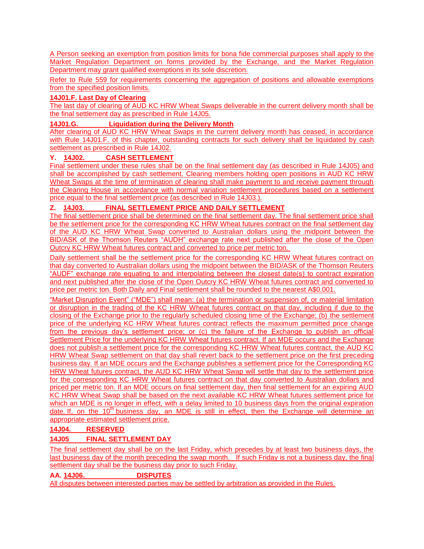A Person seeking an exemption from position limits for bona fide commercial purposes shall apply to the Market Regulation Department on forms provided by the Exchange, and the Market Regulation Department may grant qualified exemptions in its sole discretion.

Refer to Rule 559 for requirements concerning the aggregation of positions and allowable exemptions from the specified position limits.

# **14J01.F. Last Day of Clearing**

The last day of clearing of AUD KC HRW Wheat Swaps deliverable in the current delivery month shall be the final settlement day as prescribed in Rule 14J05.

# **14J01.G. Liquidation during the Delivery Month**

After clearing of AUD KC HRW Wheat Swaps in the current delivery month has ceased, in accordance with Rule 14J01.F. of this chapter, outstanding contracts for such delivery shall be liquidated by cash settlement as prescribed in Rule 14J02.

### **Y. 14J02. CASH SETTLEMENT**

Final settlement under these rules shall be on the final settlement day (as described in Rule 14J05) and shall be accomplished by cash settlement. Clearing members holding open positions in AUD KC HRW Wheat Swaps at the time of termination of clearing shall make payment to and receive payment through the Clearing House in accordance with normal variation settlement procedures based on a settlement price equal to the final settlement price (as described in Rule 14J03.).

# **Z. 14J03. FINAL SETTLEMENT PRICE AND DAILY SETTLEMENT**

The final settlement price shall be determined on the final settlement day. The final settlement price shall be the settlement price for the corresponding KC HRW Wheat futures contract on the final settlement day of the AUD KC HRW Wheat Swap converted to Australian dollars using the midpoint between the BID/ASK of the Thomson Reuters "AUDH" exchange rate next published after the close of the Open Outcry KC HRW Wheat futures contract and converted to price per metric ton.

Daily settlement shall be the settlement price for the corresponding KC HRW Wheat futures contract on that day converted to Australian dollars using the midpoint between the BID/ASK of the Thomson Reuters "AUDF" exchange rate equating to and interpolating between the closest date(s) to contract expiration and next published after the close of the Open Outcry KC HRW Wheat futures contract and converted to price per metric ton. Both Daily and Final settlement shall be rounded to the nearest A\$0.001.

"Market Disruption Event" ("MDE") shall mean: (a) the termination or suspension of, or material limitation or disruption in the trading of the KC HRW Wheat futures contract on that day, including if due to the closing of the Exchange prior to the regularly scheduled closing time of the Exchange; (b) the settlement price of the underlying KC HRW Wheat futures contract reflects the maximum permitted price change from the previous day's settlement price; or (c) the failure of the Exchange to publish an official Settlement Price for the underlying KC HRW Wheat futures contract. If an MDE occurs and the Exchange does not publish a settlement price for the corresponding KC HRW Wheat futures contract, the AUD KC HRW Wheat Swap settlement on that day shall revert back to the settlement price on the first preceding business day. If an MDE occurs and the Exchange publishes a settlement price for the Corresponding KC HRW Wheat futures contract, the AUD KC HRW Wheat Swap will settle that day to the settlement price for the corresponding KC HRW Wheat futures contract on that day converted to Australian dollars and priced per metric ton. If an MDE occurs on final settlement day, then final settlement for an expiring AUD KC HRW Wheat Swap shall be based on the next available KC HRW Wheat futures settlement price for which an MDE is no longer in effect, with a delay limited to 10 business days from the original expiration date. If, on the  $10<sup>th</sup>$  business day, an MDE is still in effect, then the Exchange will determine an appropriate estimated settlement price.

# **14J04. RESERVED**

# **14J05 FINAL SETTLEMENT DAY**

The final settlement day shall be on the last Friday, which precedes by at least two business days, the last business day of the month preceding the swap month. If such Friday is not a business day, the final settlement day shall be the business day prior to such Friday.

# **AA. 14J06. DISPUTES**

All disputes between interested parties may be settled by arbitration as provided in the Rules.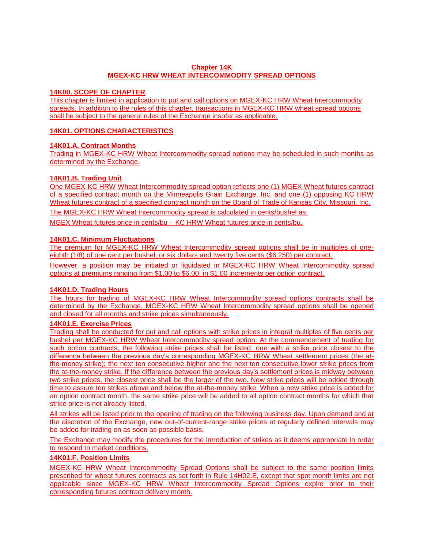### **Chapter 14K MGEX-KC HRW WHEAT INTERCOMMODITY SPREAD OPTIONS**

#### **14K00. SCOPE OF CHAPTER**

This chapter is limited in application to put and call options on MGEX-KC HRW Wheat Intercommodity spreads. In addition to the rules of this chapter, transactions in MGEX-KC HRW wheat spread options shall be subject to the general rules of the Exchange insofar as applicable.

### **14K01. OPTIONS CHARACTERISTICS**

### **14K01.A. Contract Months**

Trading in MGEX-KC HRW Wheat Intercommodity spread options may be scheduled in such months as determined by the Exchange.

### **14K01.B. Trading Unit**

One MGEX-KC HRW Wheat Intercommodity spread option reflects one (1) MGEX Wheat futures contract of a specified contract month on the Minneapolis Grain Exchange, Inc, and one (1) opposing KC HRW Wheat futures contract of a specified contract month on the Board of Trade of Kansas City, Missouri, Inc.

The MGEX-KC HRW Wheat Intercommodity spread is calculated in cents/bushel as:

MGEX Wheat futures price in cents/bu – KC HRW Wheat futures price in cents/bu.

### **14K01.C. Minimum Fluctuations**

The premium for MGEX-KC HRW Wheat Intercommodity spread options shall be in multiples of oneeighth (1/8) of one cent per bushel, or six dollars and twenty five cents (\$6.250) per contract.

However, a position may be initiated or liquidated in MGEX-KC HRW Wheat Intercommodity spread options at premiums ranging from \$1.00 to \$6.00, in \$1.00 increments per option contract.

#### **14K01.D. Trading Hours**

The hours for trading of MGEX-KC HRW Wheat Intercommodity spread options contracts shall be determined by the Exchange. MGEX-KC HRW Wheat Intercommodity spread options shall be opened and closed for all months and strike prices simultaneously.

# **14K01.E. Exercise Prices**

Trading shall be conducted for put and call options with strike prices in integral multiples of five cents per bushel per MGEX-KC HRW Wheat Intercommodity spread option. At the commencement of trading for such option contracts, the following strike prices shall be listed: one with a strike price closest to the difference between the previous day's corresponding MGEX-KC HRW Wheat settlement prices (the atthe-money strike); the next ten consecutive higher and the next ten consecutive lower strike prices from the at-the-money strike. If the difference between the previous day's settlement prices is midway between two strike prices, the closest price shall be the larger of the two. New strike prices will be added through time to assure ten strikes above and below the at-the-money strike. When a new strike price is added for an option contract month, the same strike price will be added to all option contract months for which that strike price is not already listed.

All strikes will be listed prior to the opening of trading on the following business day. Upon demand and at the discretion of the Exchange, new out-of-current-range strike prices at regularly defined intervals may be added for trading on as soon as possible basis.

The Exchange may modify the procedures for the introduction of strikes as it deems appropriate in order to respond to market conditions.

# **14K01.F. Position Limits**

MGEX-KC HRW Wheat Intercommodity Spread Options shall be subject to the same position limits prescribed for wheat futures contracts as set forth in Rule 14H02.E, except that spot month limits are not applicable since MGEX-KC HRW Wheat Intercommodity Spread Options expire prior to their corresponding futures contract delivery month.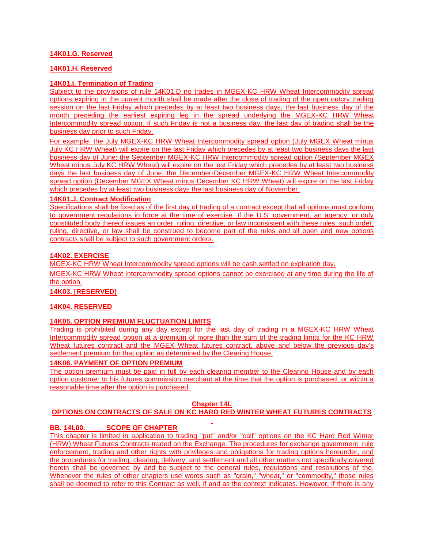### **14K01.G. Reserved**

#### **14K01.H. Reserved**

#### **14K01.I. Termination of Trading**

Subject to the provisions of rule 14K01.D no trades in MGEX-KC HRW Wheat Intercommodity spread options expiring in the current month shall be made after the close of trading of the open outcry trading session on the last Friday which precedes by at least two business days, the last business day of the month preceding the earliest expiring leg in the spread underlying the MGEX-KC HRW Wheat Intercommodity spread option. If such Friday is not a business day, the last day of trading shall be the business day prior to such Friday.

For example, the July MGEX-KC HRW Wheat Intercommodity spread option (July MGEX Wheat minus July KC HRW Wheat) will expire on the last Friday which precedes by at least two business days the last business day of June; the September MGEX-KC HRW Intercommodity spread option (September MGEX Wheat minus July KC HRW Wheat) will expire on the last Friday which precedes by at least two business days the last business day of June; the December-December MGEX-KC HRW Wheat Intercommodity spread option (December MGEX Wheat minus December KC HRW Wheat) will expire on the last Friday which precedes by at least two business days the last business day of November.

#### **14K01.J. Contract Modification**

Specifications shall be fixed as of the first day of trading of a contract except that all options must conform to government regulations in force at the time of exercise. If the U.S. government, an agency, or duly constituted body thereof issues an order, ruling, directive, or law inconsistent with these rules, such order, ruling, directive, or law shall be construed to become part of the rules and all open and new options contracts shall be subject to such government orders.

# **14K02. EXERCISE**

MGEX-KC HRW Wheat Intercommodity spread options will be cash settled on expiration day.

MGEX-KC HRW Wheat Intercommodity spread options cannot be exercised at any time during the life of the option.

#### **14K03. [RESERVED]**

#### **14K04. RESERVED**

### **14K05. OPTION PREMIUM FLUCTUATION LIMITS**

Trading is prohibited during any day except for the last day of trading in a MGEX-KC HRW Wheat Intercommodity spread option at a premium of more than the sum of the trading limits for the KC HRW Wheat futures contract and the MGEX Wheat futures contract, above and below the previous day's settlement premium for that option as determined by the Clearing House.

# **14K06. PAYMENT OF OPTION PREMIUM**

The option premium must be paid in full by each clearing member to the Clearing House and by each option customer to his futures commission merchant at the time that the option is purchased, or within a reasonable time after the option is purchased.

#### **Chapter 14L**

#### **OPTIONS ON CONTRACTS OF SALE ON KC HARD RED WINTER WHEAT FUTURES CONTRACTS**

#### **BB. 14L00. SCOPE OF CHAPTER**

This chapter is limited in application to trading "put" and/or "call" options on the KC Hard Red Winter (HRW) Wheat Futures Contracts traded on the Exchange. The procedures for exchange government, rule enforcement, trading and other rights with privileges and obligations for trading options hereunder, and the procedures for trading, clearing, delivery, and settlement and all other matters not specifically covered herein shall be governed by and be subject to the general rules, regulations and resolutions of the. Whenever the rules of other chapters use words such as "grain," "wheat," or "commodity," those rules shall be deemed to refer to this Contract as well, if and as the context indicates. However, if there is any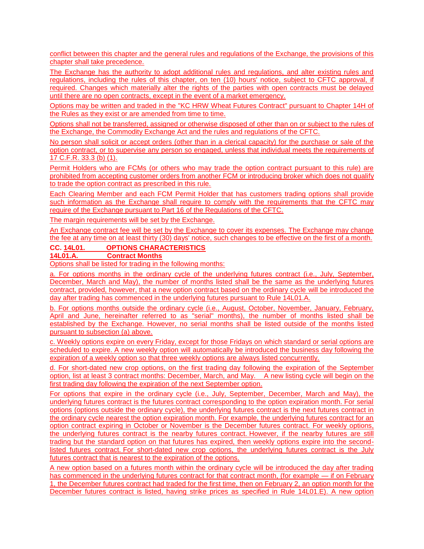conflict between this chapter and the general rules and regulations of the Exchange, the provisions of this chapter shall take precedence.

The Exchange has the authority to adopt additional rules and regulations, and alter existing rules and regulations, including the rules of this chapter, on ten (10) hours' notice, subject to CFTC approval, if required. Changes which materially alter the rights of the parties with open contracts must be delayed until there are no open contracts, except in the event of a market emergency.

Options may be written and traded in the "KC HRW Wheat Futures Contract" pursuant to Chapter 14H of the Rules as they exist or are amended from time to time.

Options shall not be transferred, assigned or otherwise disposed of other than on or subject to the rules of the Exchange, the Commodity Exchange Act and the rules and regulations of the CFTC.

No person shall solicit or accept orders (other than in a clerical capacity) for the purchase or sale of the option contract, or to supervise any person so engaged, unless that individual meets the requirements of 17 C.F.R. 33.3 (b) (1).

Permit Holders who are FCMs (or others who may trade the option contract pursuant to this rule) are prohibited from accepting customer orders from another FCM or introducing broker which does not qualify to trade the option contract as prescribed in this rule.

Each Clearing Member and each FCM Permit Holder that has customers trading options shall provide such information as the Exchange shall require to comply with the requirements that the CFTC may require of the Exchange pursuant to Part 16 of the Regulations of the CFTC.

The margin requirements will be set by the Exchange.

An Exchange contract fee will be set by the Exchange to cover its expenses. The Exchange may change the fee at any time on at least thirty (30) days' notice, such changes to be effective on the first of a month.

# **CC.** 14L01. OPTIONS CHARACTERISTICS<br>14L01.A. Contract Months

**Contract Months** 

Options shall be listed for trading in the following months:

a. For options months in the ordinary cycle of the underlying futures contract (i.e., July, September, December, March and May), the number of months listed shall be the same as the underlying futures contract, provided, however, that a new option contract based on the ordinary cycle will be introduced the day after trading has commenced in the underlying futures pursuant to Rule 14L01.A.

b. For options months outside the ordinary cycle (i.e., August, October, November, January, February, April and June, hereinafter referred to as "serial" months), the number of months listed shall be established by the Exchange. However, no serial months shall be listed outside of the months listed pursuant to subsection (a) above.

c. Weekly options expire on every Friday, except for those Fridays on which standard or serial options are scheduled to expire. A new weekly option will automatically be introduced the business day following the expiration of a weekly option so that three weekly options are always listed concurrently.

d. For short-dated new crop options, on the first trading day following the expiration of the September option, list at least 3 contract months: December, March, and May. A new listing cycle will begin on the first trading day following the expiration of the next September option.

For options that expire in the ordinary cycle (i.e., July, September, December, March and May), the underlying futures contract is the futures contract corresponding to the option expiration month. For serial options (options outside the ordinary cycle), the underlying futures contract is the next futures contract in the ordinary cycle nearest the option expiration month. For example, the underlying futures contract for an option contract expiring in October or November is the December futures contract. For weekly options, the underlying futures contract is the nearby futures contract. However, if the nearby futures are still trading but the standard option on that futures has expired, then weekly options expire into the secondlisted futures contract. For short-dated new crop options, the underlying futures contract is the July futures contract that is nearest to the expiration of the options.

A new option based on a futures month within the ordinary cycle will be introduced the day after trading has commenced in the underlying futures contract for that contract month, (for example — if on February 1, the December futures contract had traded for the first time, then on February 2, an option month for the December futures contract is listed, having strike prices as specified in Rule 14L01.E). A new option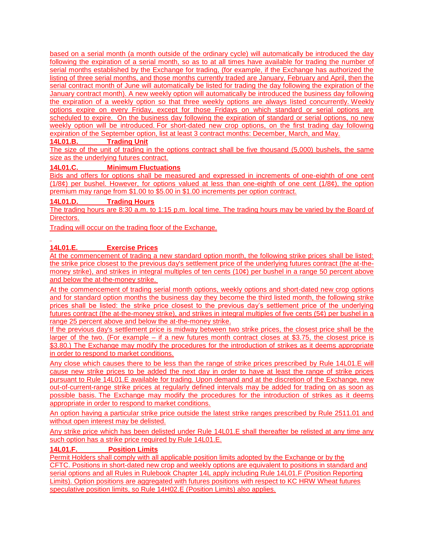based on a serial month (a month outside of the ordinary cycle) will automatically be introduced the day following the expiration of a serial month, so as to at all times have available for trading the number of serial months established by the Exchange for trading, (for example, if the Exchange has authorized the listing of three serial months, and those months currently traded are January, February and April, then the serial contract month of June will automatically be listed for trading the day following the expiration of the January contract month). A new weekly option will automatically be introduced the business day following the expiration of a weekly option so that three weekly options are always listed concurrently. Weekly options expire on every Friday, except for those Fridays on which standard or serial options are scheduled to expire. On the business day following the expiration of standard or serial options, no new weekly option will be introduced. For short-dated new crop options, on the first trading day following expiration of the September option, list at least 3 contract months: December, March, and May.

# **14L01.B. Trading Unit**

The size of the unit of trading in the options contract shall be five thousand (5,000) bushels, the same size as the underlying futures contract.

### **14L01.C. Minimum Fluctuations**

Bids and offers for options shall be measured and expressed in increments of one-eighth of one cent  $(1/8¢)$  per bushel. However, for options valued at less than one-eighth of one cent  $(1/8¢)$ , the option premium may range from \$1.00 to \$5.00 in \$1.00 increments per option contract.

### **14L01.D. Trading Hours**

The trading hours are 8:30 a.m. to 1:15 p.m. local time. The trading hours may be varied by the Board of Directors.

Trading will occur on the trading floor of the Exchange.

# **14L01.E. Exercise Prices**

At the commencement of trading a new standard option month, the following strike prices shall be listed: the strike price closest to the previous day's settlement price of the underlying futures contract (the at-themoney strike), and strikes in integral multiples of ten cents (10¢) per bushel in a range 50 percent above and below the at-the-money strike.

At the commencement of trading serial month options, weekly options and short-dated new crop options and for standard option months the business day they become the third listed month, the following strike prices shall be listed: the strike price closest to the previous day's settlement price of the underlying futures contract (the at-the-money strike), and strikes in integral multiples of five cents (5¢) per bushel in a range 25 percent above and below the at-the-money strike.

If the previous day's settlement price is midway between two strike prices, the closest price shall be the larger of the two. (For example  $-$  if a new futures month contract closes at \$3.75, the closest price is \$3.80.) The Exchange may modify the procedures for the introduction of strikes as it deems appropriate in order to respond to market conditions.

Any close which causes there to be less than the range of strike prices prescribed by Rule 14L01.E will cause new strike prices to be added the next day in order to have at least the range of strike prices pursuant to Rule 14L01.E available for trading. Upon demand and at the discretion of the Exchange, new out-of-current-range strike prices at regularly defined intervals may be added for trading on as soon as possible basis. The Exchange may modify the procedures for the introduction of strikes as it deems appropriate in order to respond to market conditions.

An option having a particular strike price outside the latest strike ranges prescribed by Rule 2511.01 and without open interest may be delisted.

Any strike price which has been delisted under Rule 14L01.E shall thereafter be relisted at any time any such option has a strike price required by Rule 14L01.E.

#### **14L01.F. Position Limits**

Permit Holders shall comply with all applicable position limits adopted by the Exchange or by the CFTC. Positions in short-dated new crop and weekly options are equivalent to positions in standard and serial options and all Rules in Rulebook Chapter 14L apply including Rule 14L01.F (Position Reporting Limits). Option positions are aggregated with futures positions with respect to KC HRW Wheat futures speculative position limits, so Rule 14H02.E (Position Limits) also applies.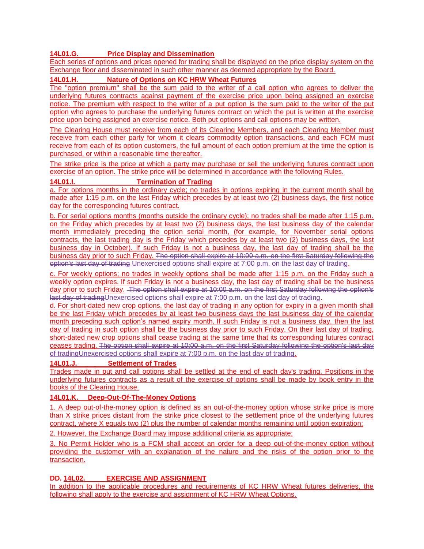# **14L01.G. Price Display and Dissemination**

Each series of options and prices opened for trading shall be displayed on the price display system on the Exchange floor and disseminated in such other manner as deemed appropriate by the Board.

# **14L01.H. Nature of Options on KC HRW Wheat Futures**

The "option premium" shall be the sum paid to the writer of a call option who agrees to deliver the underlying futures contracts against payment of the exercise price upon being assigned an exercise notice. The premium with respect to the writer of a put option is the sum paid to the writer of the put option who agrees to purchase the underlying futures contract on which the put is written at the exercise price upon being assigned an exercise notice. Both put options and call options may be written.

The Clearing House must receive from each of its Clearing Members, and each Clearing Member must receive from each other party for whom it clears commodity option transactions, and each FCM must receive from each of its option customers, the full amount of each option premium at the time the option is purchased, or within a reasonable time thereafter.

The strike price is the price at which a party may purchase or sell the underlying futures contract upon exercise of an option. The strike price will be determined in accordance with the following Rules.

### **14L01.I. Termination of Trading**

a. For options months in the ordinary cycle; no trades in options expiring in the current month shall be made after 1:15 p.m. on the last Friday which precedes by at least two (2) business days, the first notice day for the corresponding futures contract.

b. For serial options months (months outside the ordinary cycle); no trades shall be made after 1:15 p.m. on the Friday which precedes by at least two (2) business days, the last business day of the calendar month immediately preceding the option serial month, (for example, for November serial options contracts, the last trading day is the Friday which precedes by at least two (2) business days, the last business day in October). If such Friday is not a business day, the last day of trading shall be the business day prior to such Friday. The option shall expire at 10:00 a.m. on the first Saturday following the option's last day of trading Unexercised options shall expire at 7:00 p.m. on the last day of trading.

c. For weekly options; no trades in weekly options shall be made after 1:15 p.m. on the Friday such a weekly option expires. If such Friday is not a business day, the last day of trading shall be the business day prior to such Friday. The option shall expire at 10:00 a.m. on the first Saturday following the option's last day of tradingUnexercised options shall expire at 7:00 p.m. on the last day of trading.

d. For short-dated new crop options, the last day of trading in any option for expiry in a given month shall be the last Friday which precedes by at least two business days the last business day of the calendar month preceding such option's named expiry month. If such Friday is not a business day, then the last day of trading in such option shall be the business day prior to such Friday. On their last day of trading, short-dated new crop options shall cease trading at the same time that its corresponding futures contract ceases trading. The option shall expire at 10:00 a.m. on the first Saturday following the option's last day of tradingUnexercised options shall expire at 7:00 p.m. on the last day of trading.

#### **14L01.J. Settlement of Trades**

Trades made in put and call options shall be settled at the end of each day's trading. Positions in the underlying futures contracts as a result of the exercise of options shall be made by book entry in the books of the Clearing House.

# **14L01.K. Deep-Out-Of-The-Money Options**

1. A deep out-of-the-money option is defined as an out-of-the-money option whose strike price is more than X strike prices distant from the strike price closest to the settlement price of the underlying futures contract, where X equals two (2) plus the number of calendar months remaining until option expiration;

2. However, the Exchange Board may impose additional criteria as appropriate;

3. No Permit Holder who is a FCM shall accept an order for a deep out-of-the-money option without providing the customer with an explanation of the nature and the risks of the option prior to the transaction.

# **DD. 14L02. EXERCISE AND ASSIGNMENT**

In addition to the applicable procedures and requirements of KC HRW Wheat futures deliveries, the following shall apply to the exercise and assignment of KC HRW Wheat Options.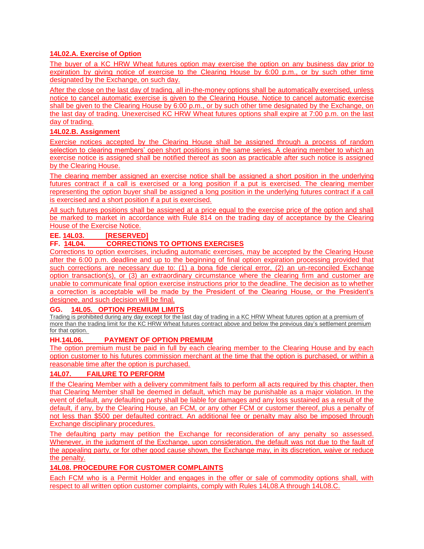# **14L02.A. Exercise of Option**

The buyer of a KC HRW Wheat futures option may exercise the option on any business day prior to expiration by giving notice of exercise to the Clearing House by 6:00 p.m., or by such other time designated by the Exchange, on such day.

After the close on the last day of trading, all in-the-money options shall be automatically exercised, unless notice to cancel automatic exercise is given to the Clearing House. Notice to cancel automatic exercise shall be given to the Clearing House by 6:00 p.m., or by such other time designated by the Exchange, on the last day of trading. Unexercised KC HRW Wheat futures options shall expire at 7:00 p.m. on the last day of trading.

### **14L02.B. Assignment**

Exercise notices accepted by the Clearing House shall be assigned through a process of random selection to clearing members' open short positions in the same series. A clearing member to which an exercise notice is assigned shall be notified thereof as soon as practicable after such notice is assigned by the Clearing House.

The clearing member assigned an exercise notice shall be assigned a short position in the underlying futures contract if a call is exercised or a long position if a put is exercised. The clearing member representing the option buyer shall be assigned a long position in the underlying futures contract if a call is exercised and a short position if a put is exercised.

All such futures positions shall be assigned at a price equal to the exercise price of the option and shall be marked to market in accordance with Rule 814 on the trading day of acceptance by the Clearing House of the Exercise Notice.

### **EE. 14L03. [RESERVED]**

# **FF. 14L04. CORRECTIONS TO OPTIONS EXERCISES**

Corrections to option exercises, including automatic exercises, may be accepted by the Clearing House after the 6:00 p.m. deadline and up to the beginning of final option expiration processing provided that such corrections are necessary due to: (1) a bona fide clerical error, (2) an un-reconciled Exchange option transaction(s), or (3) an extraordinary circumstance where the clearing firm and customer are unable to communicate final option exercise instructions prior to the deadline. The decision as to whether a correction is acceptable will be made by the President of the Clearing House, or the President's designee, and such decision will be final.

# **GG. 14L05. OPTION PREMIUM LIMITS**

Trading is prohibited during any day except for the last day of trading in a KC HRW Wheat futures option at a premium of more than the trading limit for the KC HRW Wheat futures contract above and below the previous day's settlement premium for that option.

#### **HH.14L06. PAYMENT OF OPTION PREMIUM**

The option premium must be paid in full by each clearing member to the Clearing House and by each option customer to his futures commission merchant at the time that the option is purchased, or within a reasonable time after the option is purchased.

# **14L07. FAILURE TO PERFORM**

If the Clearing Member with a delivery commitment fails to perform all acts required by this chapter, then that Clearing Member shall be deemed in default, which may be punishable as a major violation. In the event of default, any defaulting party shall be liable for damages and any loss sustained as a result of the default, if any, by the Clearing House, an FCM, or any other FCM or customer thereof, plus a penalty of not less than \$500 per defaulted contract. An additional fee or penalty may also be imposed through Exchange disciplinary procedures.

The defaulting party may petition the Exchange for reconsideration of any penalty so assessed. Whenever, in the judgment of the Exchange, upon consideration, the default was not due to the fault of the appealing party, or for other good cause shown, the Exchange may, in its discretion, waive or reduce the penalty.

# **14L08. PROCEDURE FOR CUSTOMER COMPLAINTS**

Each FCM who is a Permit Holder and engages in the offer or sale of commodity options shall, with respect to all written option customer complaints, comply with Rules 14L08.A through 14L08.C.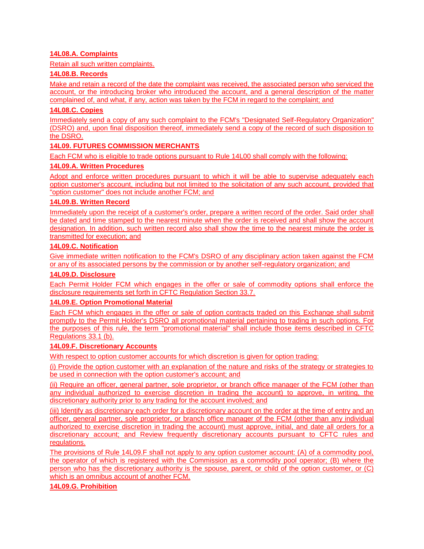# **14L08.A. Complaints**

Retain all such written complaints.

#### **14L08.B. Records**

Make and retain a record of the date the complaint was received, the associated person who serviced the account, or the introducing broker who introduced the account, and a general description of the matter complained of, and what, if any, action was taken by the FCM in regard to the complaint; and

#### **14L08.C. Copies**

Immediately send a copy of any such complaint to the FCM's "Designated Self-Regulatory Organization" (DSRO) and, upon final disposition thereof, immediately send a copy of the record of such disposition to the DSRO.

### **14L09. FUTURES COMMISSION MERCHANTS**

Each FCM who is eligible to trade options pursuant to Rule 14L00 shall comply with the following:

#### **14L09.A. Written Procedures**

Adopt and enforce written procedures pursuant to which it will be able to supervise adequately each option customer's account, including but not limited to the solicitation of any such account, provided that "option customer" does not include another FCM; and

#### **14L09.B. Written Record**

Immediately upon the receipt of a customer's order, prepare a written record of the order. Said order shall be dated and time stamped to the nearest minute when the order is received and shall show the account designation. In addition, such written record also shall show the time to the nearest minute the order is transmitted for execution; and

# **14L09.C. Notification**

Give immediate written notification to the FCM's DSRO of any disciplinary action taken against the FCM or any of its associated persons by the commission or by another self-regulatory organization; and

#### **14L09.D. Disclosure**

Each Permit Holder FCM which engages in the offer or sale of commodity options shall enforce the disclosure requirements set forth in CFTC Regulation Section 33.7.

#### **14L09.E. Option Promotional Material**

Each FCM which engages in the offer or sale of option contracts traded on this Exchange shall submit promptly to the Permit Holder's DSRO all promotional material pertaining to trading in such options. For the purposes of this rule, the term "promotional material" shall include those items described in CFTC Regulations 33.1 (b).

#### **14L09.F. Discretionary Accounts**

With respect to option customer accounts for which discretion is given for option trading:

(i) Provide the option customer with an explanation of the nature and risks of the strategy or strategies to be used in connection with the option customer's account; and

(ii) Require an officer, general partner, sole proprietor, or branch office manager of the FCM (other than any individual authorized to exercise discretion in trading the account) to approve, in writing, the discretionary authority prior to any trading for the account involved; and

(iii) Identify as discretionary each order for a discretionary account on the order at the time of entry and an officer, general partner, sole proprietor, or branch office manager of the FCM (other than any individual authorized to exercise discretion in trading the account) must approve, initial, and date all orders for a discretionary account; and Review frequently discretionary accounts pursuant to CFTC rules and regulations.

The provisions of Rule 14L09.F shall not apply to any option customer account: (A) of a commodity pool, the operator of which is registered with the Commission as a commodity pool operator; (B) where the person who has the discretionary authority is the spouse, parent, or child of the option customer, or (C) which is an omnibus account of another FCM.

#### **14L09.G. Prohibition**